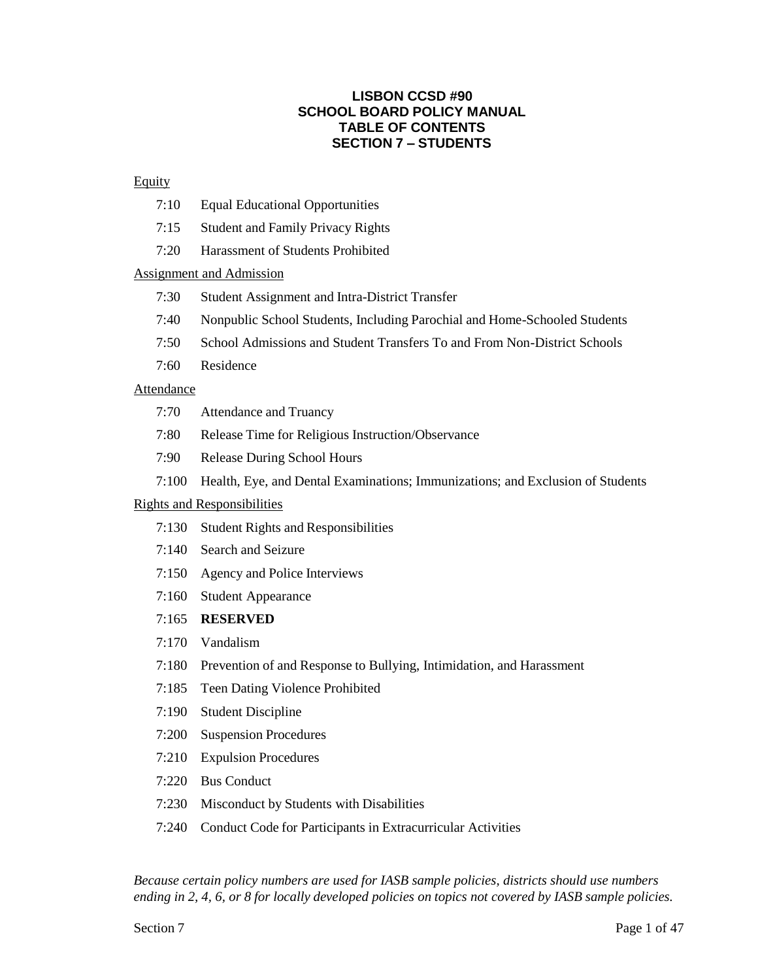## **LISBON CCSD #90 SCHOOL BOARD POLICY MANUAL TABLE OF CONTENTS SECTION 7 – STUDENTS**

### **Equity**

- 7:10 Equal Educational Opportunities
- 7:15 Student and Family Privacy Rights
- 7:20 Harassment of Students Prohibited

### Assignment and Admission

- 7:30 Student Assignment and Intra-District Transfer
- 7:40 Nonpublic School Students, Including Parochial and Home-Schooled Students
- 7:50 School Admissions and Student Transfers To and From Non-District Schools
- 7:60 Residence

### Attendance

- 7:70 Attendance and Truancy
- 7:80 Release Time for Religious Instruction/Observance
- 7:90 Release During School Hours
- 7:100 Health, Eye, and Dental Examinations; Immunizations; and Exclusion of Students

### Rights and Responsibilities

- 7:130 Student Rights and Responsibilities
- 7:140 Search and Seizure
- 7:150 Agency and Police Interviews
- 7:160 Student Appearance

### 7:165 **RESERVED**

- 7:170 Vandalism
- 7:180 Prevention of and Response to Bullying, Intimidation, and Harassment
- 7:185 Teen Dating Violence Prohibited
- 7:190 Student Discipline
- 7:200 Suspension Procedures
- 7:210 Expulsion Procedures
- 7:220 Bus Conduct
- 7:230 Misconduct by Students with Disabilities
- 7:240 Conduct Code for Participants in Extracurricular Activities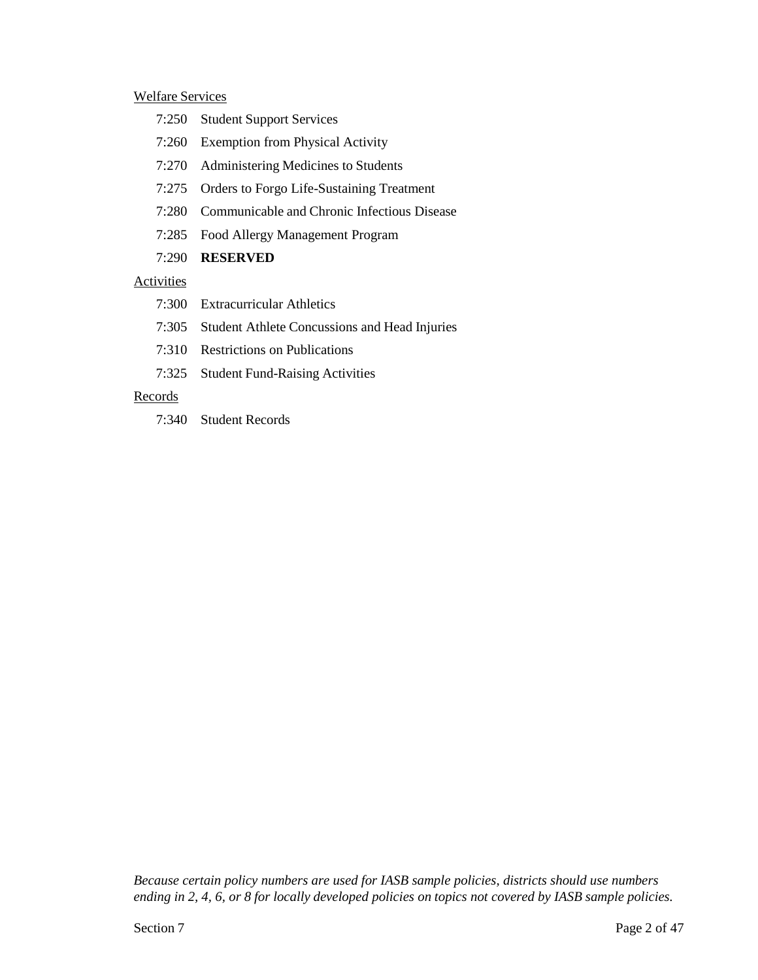#### Welfare Services

- 7:250 Student Support Services
- 7:260 Exemption from Physical Activity
- 7:270 Administering Medicines to Students
- 7:275 Orders to Forgo Life-Sustaining Treatment
- 7:280 Communicable and Chronic Infectious Disease
- 7:285 Food Allergy Management Program
- 7:290 **RESERVED**

## Activities

- 7:300 Extracurricular Athletics
- 7:305 Student Athlete Concussions and Head Injuries
- 7:310 Restrictions on Publications
- 7:325 Student Fund-Raising Activities

## Records

7:340 Student Records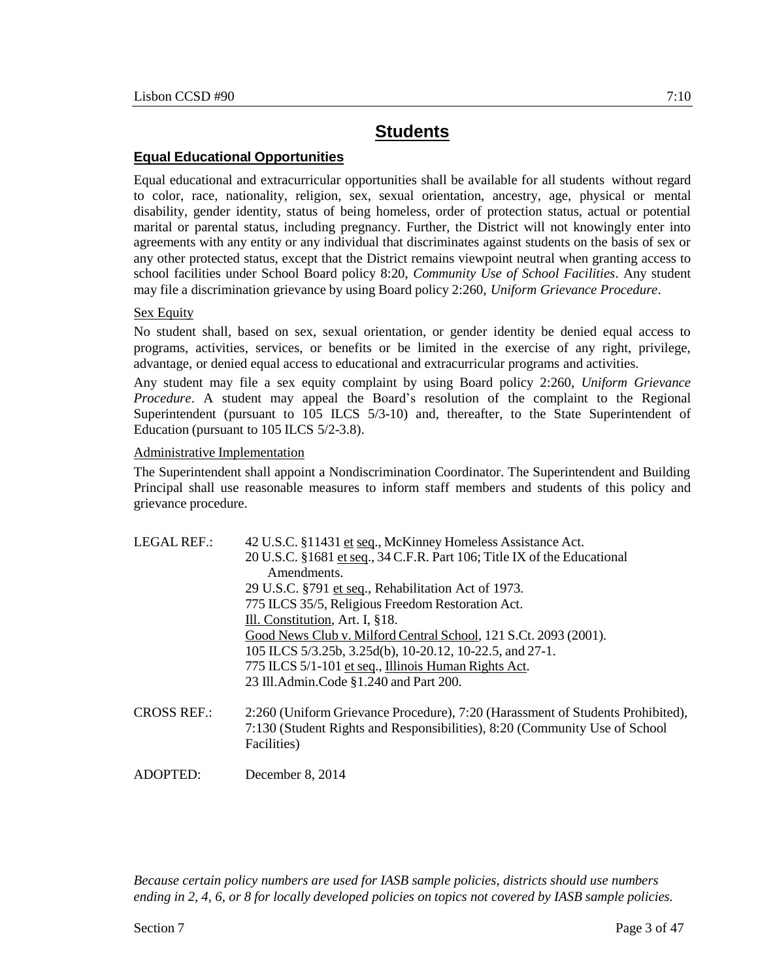## **Equal Educational Opportunities**

Equal educational and extracurricular opportunities shall be available for all students without regard to color, race, nationality, religion, sex, sexual orientation, ancestry, age, physical or mental disability, gender identity, status of being homeless, order of protection status, actual or potential marital or parental status, including pregnancy. Further, the District will not knowingly enter into agreements with any entity or any individual that discriminates against students on the basis of sex or any other protected status, except that the District remains viewpoint neutral when granting access to school facilities under School Board policy 8:20, *Community Use of School Facilities*. Any student may file a discrimination grievance by using Board policy 2:260, *Uniform Grievance Procedure*.

### Sex Equity

No student shall, based on sex, sexual orientation, or gender identity be denied equal access to programs, activities, services, or benefits or be limited in the exercise of any right, privilege, advantage, or denied equal access to educational and extracurricular programs and activities.

Any student may file a sex equity complaint by using Board policy 2:260, *Uniform Grievance Procedure*. A student may appeal the Board's resolution of the complaint to the Regional Superintendent (pursuant to 105 ILCS 5/3-10) and, thereafter, to the State Superintendent of Education (pursuant to 105 ILCS 5/2-3.8).

### Administrative Implementation

ADOPTED: December 8, 2014

The Superintendent shall appoint a Nondiscrimination Coordinator. The Superintendent and Building Principal shall use reasonable measures to inform staff members and students of this policy and grievance procedure.

| LEGAL REF.:        | 42 U.S.C. §11431 et seq., McKinney Homeless Assistance Act.                                                                                                                 |
|--------------------|-----------------------------------------------------------------------------------------------------------------------------------------------------------------------------|
|                    | 20 U.S.C. §1681 et seq., 34 C.F.R. Part 106; Title IX of the Educational                                                                                                    |
|                    | Amendments.                                                                                                                                                                 |
|                    | 29 U.S.C. §791 et seq., Rehabilitation Act of 1973.                                                                                                                         |
|                    | 775 ILCS 35/5, Religious Freedom Restoration Act.                                                                                                                           |
|                    | Ill. Constitution, Art. I, §18.                                                                                                                                             |
|                    | Good News Club v. Milford Central School, 121 S.Ct. 2093 (2001).                                                                                                            |
|                    | 105 ILCS 5/3.25b, 3.25d(b), 10-20.12, 10-22.5, and 27-1.                                                                                                                    |
|                    | 775 ILCS 5/1-101 et seq., Illinois Human Rights Act.                                                                                                                        |
|                    | 23 Ill.Admin.Code §1.240 and Part 200.                                                                                                                                      |
| <b>CROSS REF.:</b> | 2:260 (Uniform Grievance Procedure), 7:20 (Harassment of Students Prohibited),<br>7:130 (Student Rights and Responsibilities), 8:20 (Community Use of School<br>Facilities) |
|                    |                                                                                                                                                                             |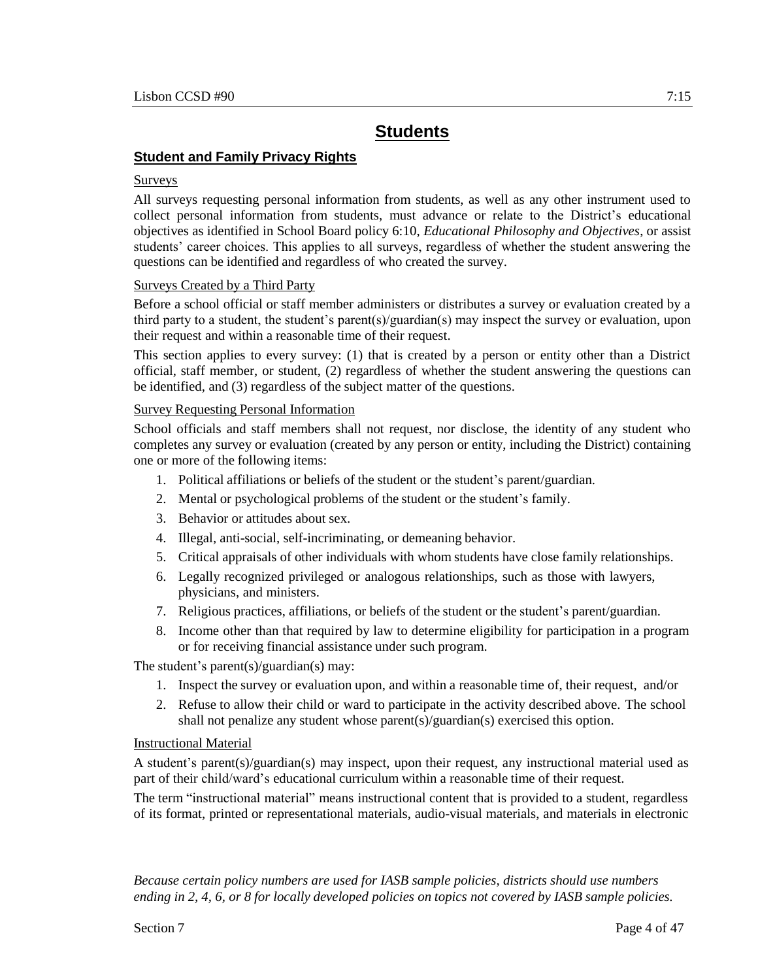## **Student and Family Privacy Rights**

#### Surveys

All surveys requesting personal information from students, as well as any other instrument used to collect personal information from students, must advance or relate to the District's educational objectives as identified in School Board policy 6:10, *Educational Philosophy and Objectives*, or assist students' career choices. This applies to all surveys, regardless of whether the student answering the questions can be identified and regardless of who created the survey.

### Surveys Created by a Third Party

Before a school official or staff member administers or distributes a survey or evaluation created by a third party to a student, the student's parent(s)/guardian(s) may inspect the survey or evaluation, upon their request and within a reasonable time of their request.

This section applies to every survey: (1) that is created by a person or entity other than a District official, staff member, or student, (2) regardless of whether the student answering the questions can be identified, and (3) regardless of the subject matter of the questions.

#### Survey Requesting Personal Information

School officials and staff members shall not request, nor disclose, the identity of any student who completes any survey or evaluation (created by any person or entity, including the District) containing one or more of the following items:

- 1. Political affiliations or beliefs of the student or the student's parent/guardian.
- 2. Mental or psychological problems of the student or the student's family.
- 3. Behavior or attitudes about sex.
- 4. Illegal, anti-social, self-incriminating, or demeaning behavior.
- 5. Critical appraisals of other individuals with whom students have close family relationships.
- 6. Legally recognized privileged or analogous relationships, such as those with lawyers, physicians, and ministers.
- 7. Religious practices, affiliations, or beliefs of the student or the student's parent/guardian.
- 8. Income other than that required by law to determine eligibility for participation in a program or for receiving financial assistance under such program.

The student's parent(s)/guardian(s) may:

- 1. Inspect the survey or evaluation upon, and within a reasonable time of, their request, and/or
- 2. Refuse to allow their child or ward to participate in the activity described above. The school shall not penalize any student whose parent(s)/guardian(s) exercised this option.

### Instructional Material

A student's parent(s)/guardian(s) may inspect, upon their request, any instructional material used as part of their child/ward's educational curriculum within a reasonable time of their request.

The term "instructional material" means instructional content that is provided to a student, regardless of its format, printed or representational materials, audio-visual materials, and materials in electronic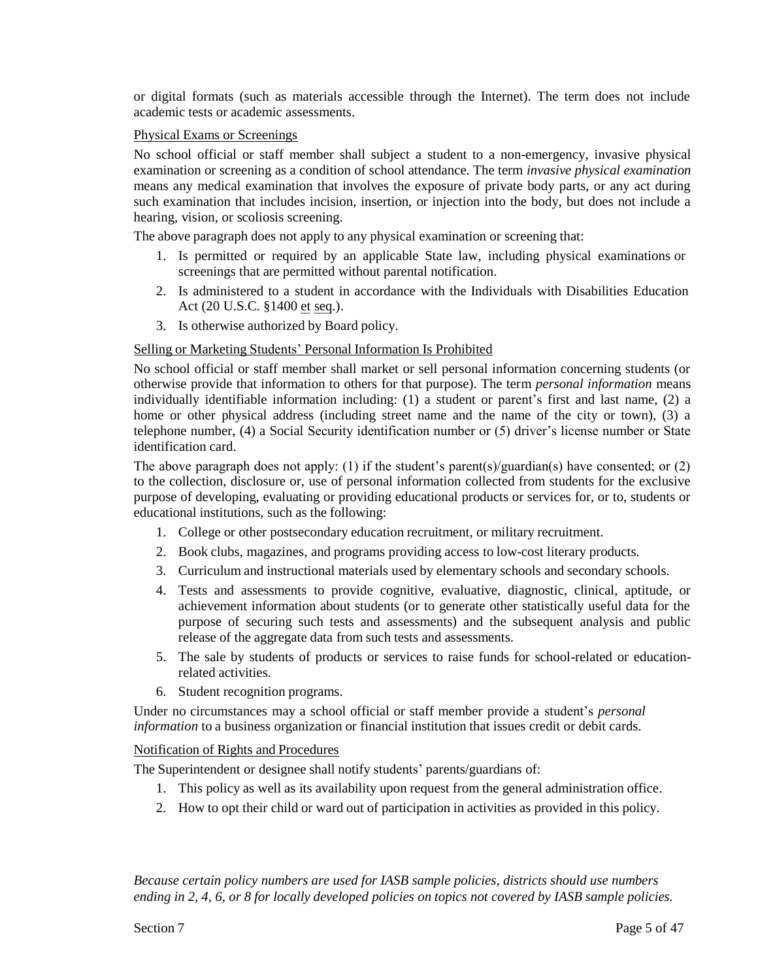or digital formats (such as materials accessible through the Internet). The term does not include academic tests or academic assessments.

### Physical Exams or Screenings

No school official or staff member shall subject a student to a non-emergency, invasive physical examination or screening as a condition of school attendance. The term *invasive physical examination* means any medical examination that involves the exposure of private body parts, or any act during such examination that includes incision, insertion, or injection into the body, but does not include a hearing, vision, or scoliosis screening.

The above paragraph does not apply to any physical examination or screening that:

- 1. Is permitted or required by an applicable State law, including physical examinations or screenings that are permitted without parental notification.
- 2. Is administered to a student in accordance with the Individuals with Disabilities Education Act (20 U.S.C. §1400 et seq.).
- 3. Is otherwise authorized by Board policy.

#### Selling or Marketing Students' Personal Information Is Prohibited

No school official or staff member shall market or sell personal information concerning students (or otherwise provide that information to others for that purpose). The term *personal information* means individually identifiable information including: (1) a student or parent's first and last name, (2) a home or other physical address (including street name and the name of the city or town), (3) a telephone number, (4) a Social Security identification number or (5) driver's license number or State identification card.

The above paragraph does not apply: (1) if the student's parent(s)/guardian(s) have consented; or (2) to the collection, disclosure or, use of personal information collected from students for the exclusive purpose of developing, evaluating or providing educational products or services for, or to, students or educational institutions, such as the following:

- 1. College or other postsecondary education recruitment, or military recruitment.
- 2. Book clubs, magazines, and programs providing access to low-cost literary products.
- 3. Curriculum and instructional materials used by elementary schools and secondary schools.
- 4. Tests and assessments to provide cognitive, evaluative, diagnostic, clinical, aptitude, or achievement information about students (or to generate other statistically useful data for the purpose of securing such tests and assessments) and the subsequent analysis and public release of the aggregate data from such tests and assessments.
- 5. The sale by students of products or services to raise funds for school-related or educationrelated activities.
- 6. Student recognition programs.

Under no circumstances may a school official or staff member provide a student's *personal information* to a business organization or financial institution that issues credit or debit cards.

#### Notification of Rights and Procedures

The Superintendent or designee shall notify students' parents/guardians of:

- 1. This policy as well as its availability upon request from the general administration office.
- 2. How to opt their child or ward out of participation in activities as provided in this policy.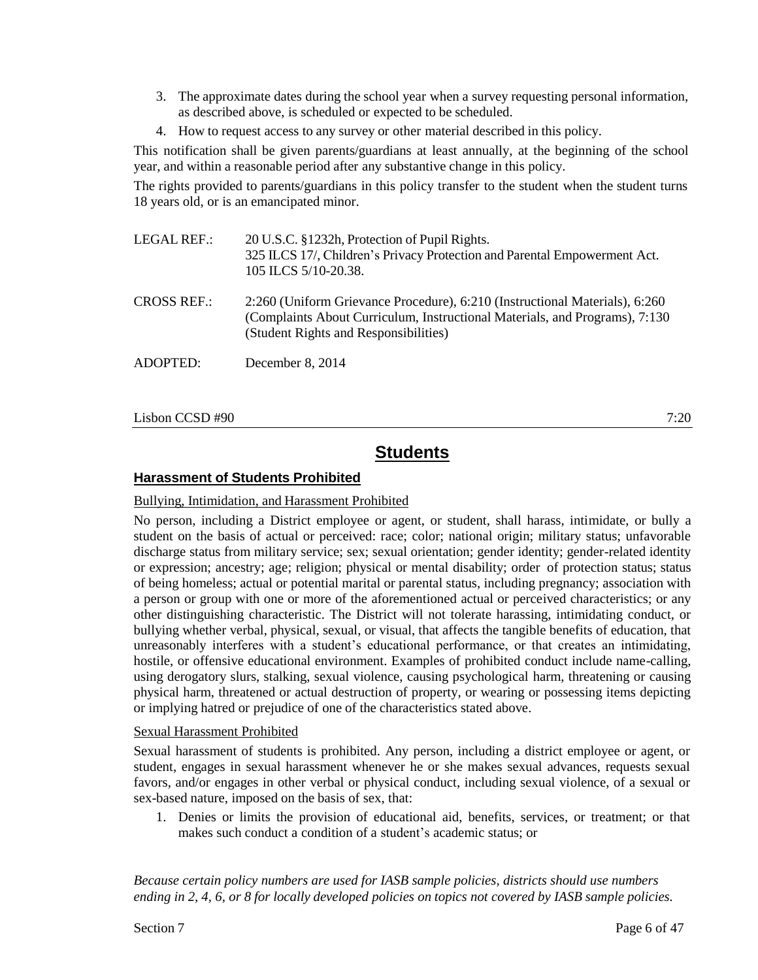- 3. The approximate dates during the school year when a survey requesting personal information, as described above, is scheduled or expected to be scheduled.
- 4. How to request access to any survey or other material described in this policy.

This notification shall be given parents/guardians at least annually, at the beginning of the school year, and within a reasonable period after any substantive change in this policy.

The rights provided to parents/guardians in this policy transfer to the student when the student turns 18 years old, or is an emancipated minor.

| LEGAL REF.: | 20 U.S.C. §1232h, Protection of Pupil Rights.                             |
|-------------|---------------------------------------------------------------------------|
|             | 325 ILCS 17/, Children's Privacy Protection and Parental Empowerment Act. |
|             | 105 ILCS 5/10-20.38.                                                      |

CROSS REF.: 2:260 (Uniform Grievance Procedure), 6:210 (Instructional Materials), 6:260 (Complaints About Curriculum, Instructional Materials, and Programs), 7:130 (Student Rights and Responsibilities)

ADOPTED: December 8, 2014

 $\lambda$  Lisbon CCSD #90  $\lambda$  7:20

# **Students**

## **Harassment of Students Prohibited**

### Bullying, Intimidation, and Harassment Prohibited

No person, including a District employee or agent, or student, shall harass, intimidate, or bully a student on the basis of actual or perceived: race; color; national origin; military status; unfavorable discharge status from military service; sex; sexual orientation; gender identity; gender-related identity or expression; ancestry; age; religion; physical or mental disability; order of protection status; status of being homeless; actual or potential marital or parental status, including pregnancy; association with a person or group with one or more of the aforementioned actual or perceived characteristics; or any other distinguishing characteristic. The District will not tolerate harassing, intimidating conduct, or bullying whether verbal, physical, sexual, or visual, that affects the tangible benefits of education, that unreasonably interferes with a student's educational performance, or that creates an intimidating, hostile, or offensive educational environment. Examples of prohibited conduct include name-calling, using derogatory slurs, stalking, sexual violence, causing psychological harm, threatening or causing physical harm, threatened or actual destruction of property, or wearing or possessing items depicting or implying hatred or prejudice of one of the characteristics stated above.

### Sexual Harassment Prohibited

Sexual harassment of students is prohibited. Any person, including a district employee or agent, or student, engages in sexual harassment whenever he or she makes sexual advances, requests sexual favors, and/or engages in other verbal or physical conduct, including sexual violence, of a sexual or sex-based nature, imposed on the basis of sex, that:

1. Denies or limits the provision of educational aid, benefits, services, or treatment; or that makes such conduct a condition of a student's academic status; or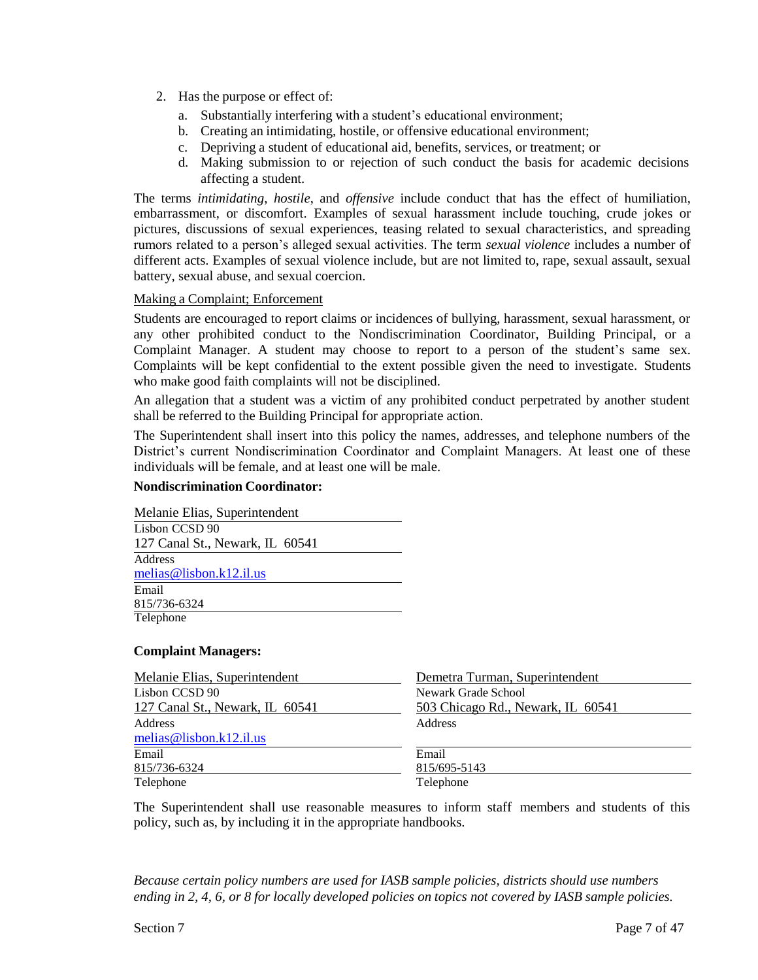- 2. Has the purpose or effect of:
	- a. Substantially interfering with a student's educational environment;
	- b. Creating an intimidating, hostile, or offensive educational environment;
	- c. Depriving a student of educational aid, benefits, services, or treatment; or
	- d. Making submission to or rejection of such conduct the basis for academic decisions affecting a student.

The terms *intimidating*, *hostile*, and *offensive* include conduct that has the effect of humiliation, embarrassment, or discomfort. Examples of sexual harassment include touching, crude jokes or pictures, discussions of sexual experiences, teasing related to sexual characteristics, and spreading rumors related to a person's alleged sexual activities. The term *sexual violence* includes a number of different acts. Examples of sexual violence include, but are not limited to, rape, sexual assault, sexual battery, sexual abuse, and sexual coercion.

### Making a Complaint; Enforcement

Students are encouraged to report claims or incidences of bullying, harassment, sexual harassment, or any other prohibited conduct to the Nondiscrimination Coordinator, Building Principal, or a Complaint Manager. A student may choose to report to a person of the student's same sex. Complaints will be kept confidential to the extent possible given the need to investigate. Students who make good faith complaints will not be disciplined.

An allegation that a student was a victim of any prohibited conduct perpetrated by another student shall be referred to the Building Principal for appropriate action.

The Superintendent shall insert into this policy the names, addresses, and telephone numbers of the District's current Nondiscrimination Coordinator and Complaint Managers. At least one of these individuals will be female, and at least one will be male.

#### **Nondiscrimination Coordinator:**

Melanie Elias, Superintendent Lisbon CCSD 90 127 Canal St., Newark, IL 60541 Address [melias@lisbon.k12.il.us](mailto:melias@lisbon.k12.il.us) Email 815/736-6324 Telephone

#### **Complaint Managers:**

| Melanie Elias, Superintendent   | Demetra Turman, Superintendent    |
|---------------------------------|-----------------------------------|
| Lisbon CCSD 90                  | Newark Grade School               |
| 127 Canal St., Newark, IL 60541 | 503 Chicago Rd., Newark, IL 60541 |
| Address                         | Address                           |
| melias@lisbon.k12.il.us         |                                   |
| Email                           | Email                             |
| 815/736-6324                    | 815/695-5143                      |
| Telephone                       | Telephone                         |

The Superintendent shall use reasonable measures to inform staff members and students of this policy, such as, by including it in the appropriate handbooks.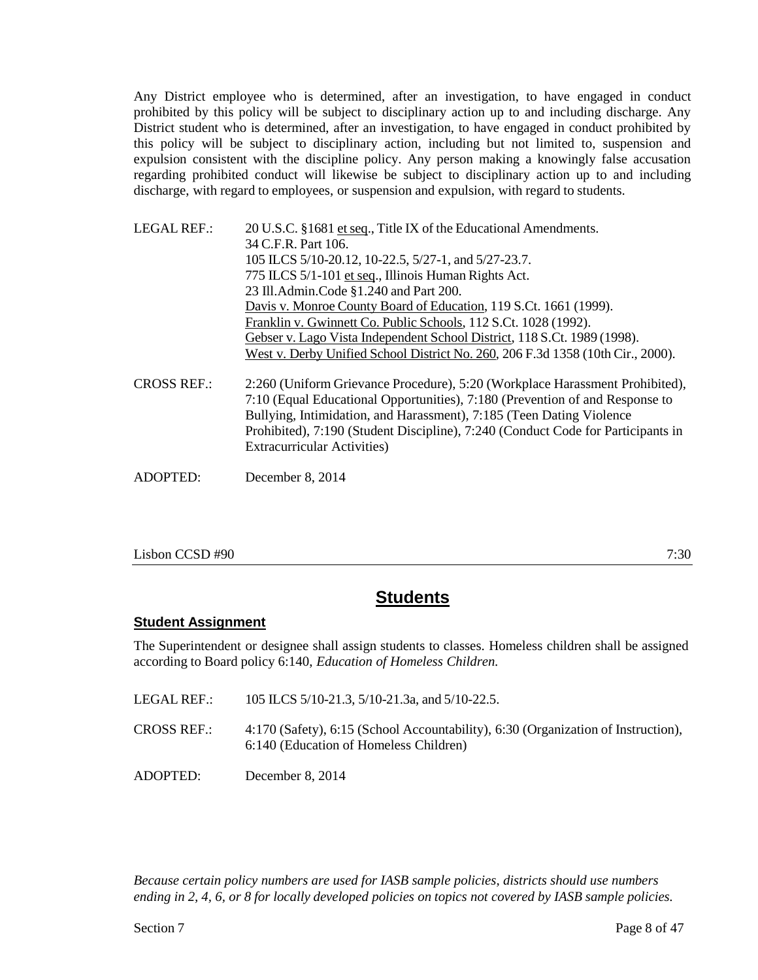Any District employee who is determined, after an investigation, to have engaged in conduct prohibited by this policy will be subject to disciplinary action up to and including discharge. Any District student who is determined, after an investigation, to have engaged in conduct prohibited by this policy will be subject to disciplinary action, including but not limited to, suspension and expulsion consistent with the discipline policy. Any person making a knowingly false accusation regarding prohibited conduct will likewise be subject to disciplinary action up to and including discharge, with regard to employees, or suspension and expulsion, with regard to students.

| <b>LEGAL REF.:</b> | 20 U.S.C. §1681 et seq., Title IX of the Educational Amendments.                                                                                                                                                                                                                                                                                                |
|--------------------|-----------------------------------------------------------------------------------------------------------------------------------------------------------------------------------------------------------------------------------------------------------------------------------------------------------------------------------------------------------------|
|                    | 34 C.F.R. Part 106.                                                                                                                                                                                                                                                                                                                                             |
|                    | 105 ILCS 5/10-20.12, 10-22.5, 5/27-1, and 5/27-23.7.                                                                                                                                                                                                                                                                                                            |
|                    | 775 ILCS 5/1-101 et seq., Illinois Human Rights Act.                                                                                                                                                                                                                                                                                                            |
|                    | 23 Ill.Admin.Code §1.240 and Part 200.                                                                                                                                                                                                                                                                                                                          |
|                    | Davis v. Monroe County Board of Education, 119 S.Ct. 1661 (1999).                                                                                                                                                                                                                                                                                               |
|                    | Franklin v. Gwinnett Co. Public Schools, 112 S.Ct. 1028 (1992).                                                                                                                                                                                                                                                                                                 |
|                    | Gebser v. Lago Vista Independent School District, 118 S.Ct. 1989 (1998).                                                                                                                                                                                                                                                                                        |
|                    | West v. Derby Unified School District No. 260, 206 F.3d 1358 (10th Cir., 2000).                                                                                                                                                                                                                                                                                 |
| <b>CROSS REF.:</b> | 2:260 (Uniform Grievance Procedure), 5:20 (Workplace Harassment Prohibited),<br>7:10 (Equal Educational Opportunities), 7:180 (Prevention of and Response to<br>Bullying, Intimidation, and Harassment), 7:185 (Teen Dating Violence<br>Prohibited), 7:190 (Student Discipline), 7:240 (Conduct Code for Participants in<br><b>Extracurricular Activities</b> ) |
| ADOPTED:           | December 8, 2014                                                                                                                                                                                                                                                                                                                                                |

 $\lambda$  Lisbon CCSD #90  $\lambda$  7:30

# **Students**

## **Student Assignment**

The Superintendent or designee shall assign students to classes. Homeless children shall be assigned according to Board policy 6:140, *Education of Homeless Children.*

| LEGAL REF.:        | 105 ILCS 5/10-21.3, 5/10-21.3a, and 5/10-22.5.                                                                              |
|--------------------|-----------------------------------------------------------------------------------------------------------------------------|
| <b>CROSS REF.:</b> | 4:170 (Safety), 6:15 (School Accountability), 6:30 (Organization of Instruction),<br>6:140 (Education of Homeless Children) |

ADOPTED: December 8, 2014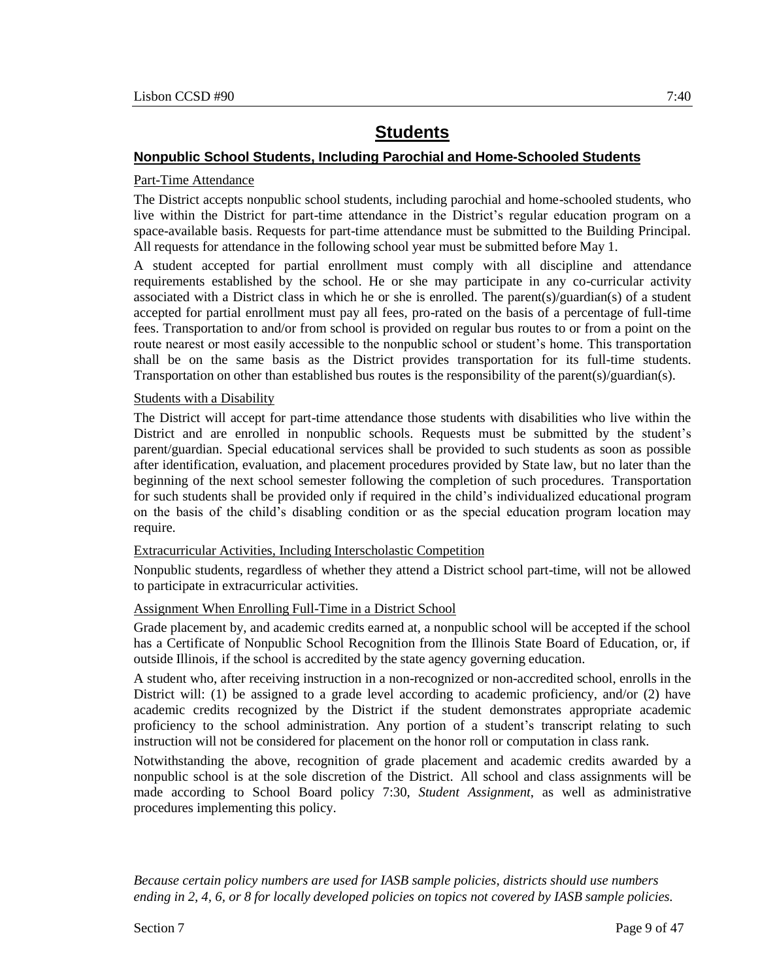## **Nonpublic School Students, Including Parochial and Home-Schooled Students**

## Part-Time Attendance

The District accepts nonpublic school students, including parochial and home-schooled students, who live within the District for part-time attendance in the District's regular education program on a space-available basis. Requests for part-time attendance must be submitted to the Building Principal. All requests for attendance in the following school year must be submitted before May 1.

A student accepted for partial enrollment must comply with all discipline and attendance requirements established by the school. He or she may participate in any co-curricular activity associated with a District class in which he or she is enrolled. The parent(s)/guardian(s) of a student accepted for partial enrollment must pay all fees, pro-rated on the basis of a percentage of full-time fees. Transportation to and/or from school is provided on regular bus routes to or from a point on the route nearest or most easily accessible to the nonpublic school or student's home. This transportation shall be on the same basis as the District provides transportation for its full-time students. Transportation on other than established bus routes is the responsibility of the parent(s)/guardian(s).

### Students with a Disability

The District will accept for part-time attendance those students with disabilities who live within the District and are enrolled in nonpublic schools. Requests must be submitted by the student's parent/guardian. Special educational services shall be provided to such students as soon as possible after identification, evaluation, and placement procedures provided by State law, but no later than the beginning of the next school semester following the completion of such procedures. Transportation for such students shall be provided only if required in the child's individualized educational program on the basis of the child's disabling condition or as the special education program location may require.

### Extracurricular Activities, Including Interscholastic Competition

Nonpublic students, regardless of whether they attend a District school part-time, will not be allowed to participate in extracurricular activities.

## Assignment When Enrolling Full-Time in a District School

Grade placement by, and academic credits earned at, a nonpublic school will be accepted if the school has a Certificate of Nonpublic School Recognition from the Illinois State Board of Education, or, if outside Illinois, if the school is accredited by the state agency governing education.

A student who, after receiving instruction in a non-recognized or non-accredited school, enrolls in the District will: (1) be assigned to a grade level according to academic proficiency, and/or (2) have academic credits recognized by the District if the student demonstrates appropriate academic proficiency to the school administration. Any portion of a student's transcript relating to such instruction will not be considered for placement on the honor roll or computation in class rank.

Notwithstanding the above, recognition of grade placement and academic credits awarded by a nonpublic school is at the sole discretion of the District. All school and class assignments will be made according to School Board policy 7:30, *Student Assignment*, as well as administrative procedures implementing this policy.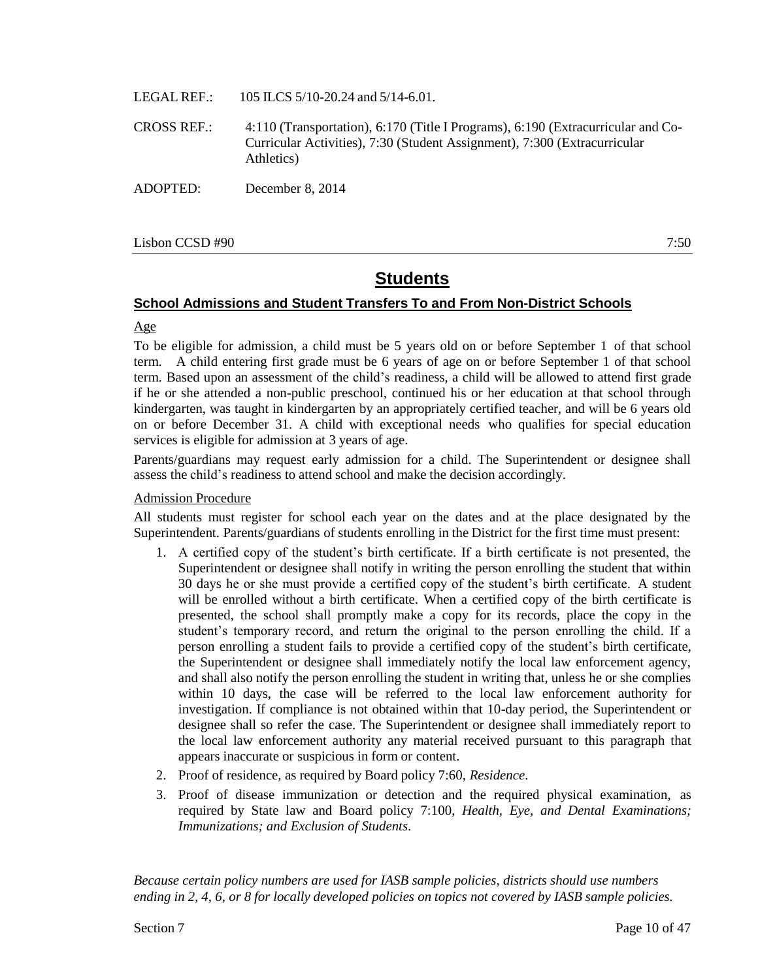- LEGAL REF.: 105 ILCS 5/10-20.24 and 5/14-6.01.
- CROSS REF.: 4:110 (Transportation), 6:170 (Title I Programs), 6:190 (Extracurricular and Co-Curricular Activities), 7:30 (Student Assignment), 7:300 (Extracurricular Athletics)
- ADOPTED: December 8, 2014

Lisbon CCSD #90 7:50

# **Students**

#### **School Admissions and Student Transfers To and From Non-District Schools**

#### Age

To be eligible for admission, a child must be 5 years old on or before September 1 of that school term. A child entering first grade must be 6 years of age on or before September 1 of that school term. Based upon an assessment of the child's readiness, a child will be allowed to attend first grade if he or she attended a non-public preschool, continued his or her education at that school through kindergarten, was taught in kindergarten by an appropriately certified teacher, and will be 6 years old on or before December 31. A child with exceptional needs who qualifies for special education services is eligible for admission at 3 years of age.

Parents/guardians may request early admission for a child. The Superintendent or designee shall assess the child's readiness to attend school and make the decision accordingly.

#### Admission Procedure

All students must register for school each year on the dates and at the place designated by the Superintendent. Parents/guardians of students enrolling in the District for the first time must present:

- 1. A certified copy of the student's birth certificate. If a birth certificate is not presented, the Superintendent or designee shall notify in writing the person enrolling the student that within 30 days he or she must provide a certified copy of the student's birth certificate. A student will be enrolled without a birth certificate. When a certified copy of the birth certificate is presented, the school shall promptly make a copy for its records, place the copy in the student's temporary record, and return the original to the person enrolling the child. If a person enrolling a student fails to provide a certified copy of the student's birth certificate, the Superintendent or designee shall immediately notify the local law enforcement agency, and shall also notify the person enrolling the student in writing that, unless he or she complies within 10 days, the case will be referred to the local law enforcement authority for investigation. If compliance is not obtained within that 10-day period, the Superintendent or designee shall so refer the case. The Superintendent or designee shall immediately report to the local law enforcement authority any material received pursuant to this paragraph that appears inaccurate or suspicious in form or content.
- 2. Proof of residence, as required by Board policy 7:60, *Residence*.
- 3. Proof of disease immunization or detection and the required physical examination, as required by State law and Board policy 7:100, *Health, Eye, and Dental Examinations; Immunizations; and Exclusion of Students*.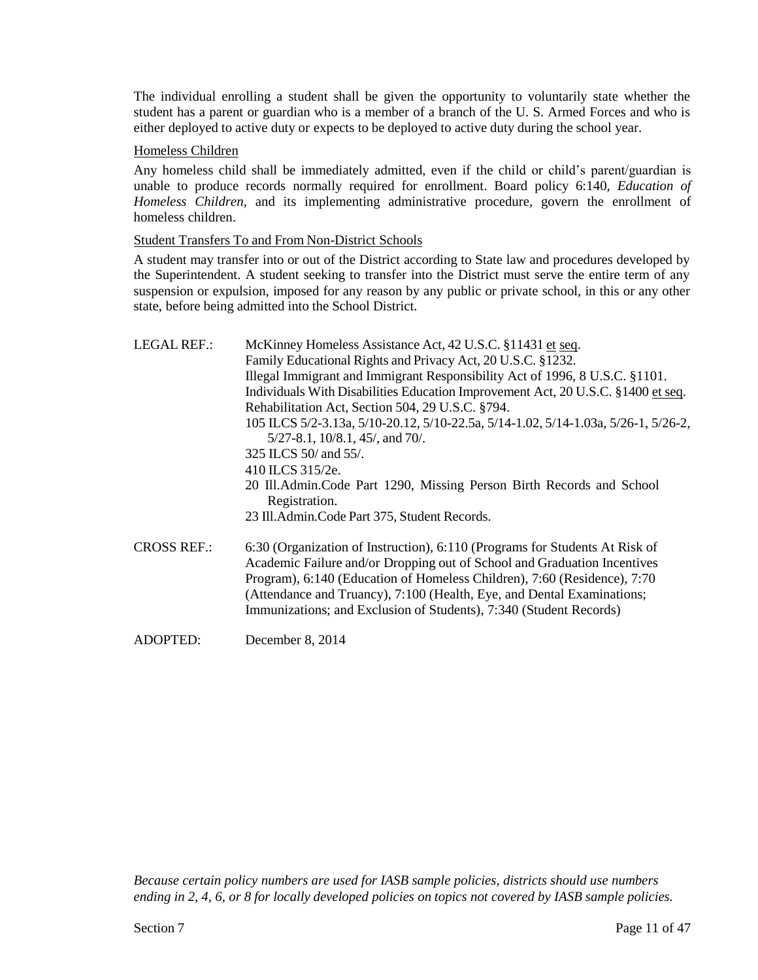The individual enrolling a student shall be given the opportunity to voluntarily state whether the student has a parent or guardian who is a member of a branch of the U. S. Armed Forces and who is either deployed to active duty or expects to be deployed to active duty during the school year.

#### Homeless Children

Any homeless child shall be immediately admitted, even if the child or child's parent/guardian is unable to produce records normally required for enrollment. Board policy 6:140, *Education of Homeless Children*, and its implementing administrative procedure, govern the enrollment of homeless children.

#### Student Transfers To and From Non-District Schools

A student may transfer into or out of the District according to State law and procedures developed by the Superintendent. A student seeking to transfer into the District must serve the entire term of any suspension or expulsion, imposed for any reason by any public or private school, in this or any other state, before being admitted into the School District.

| <b>LEGAL REF.:</b> | McKinney Homeless Assistance Act, 42 U.S.C. §11431 et seq.<br>Family Educational Rights and Privacy Act, 20 U.S.C. §1232.                                                                                                                                                                                                                                                           |
|--------------------|-------------------------------------------------------------------------------------------------------------------------------------------------------------------------------------------------------------------------------------------------------------------------------------------------------------------------------------------------------------------------------------|
|                    | Illegal Immigrant and Immigrant Responsibility Act of 1996, 8 U.S.C. §1101.                                                                                                                                                                                                                                                                                                         |
|                    | Individuals With Disabilities Education Improvement Act, 20 U.S.C. §1400 et seq.                                                                                                                                                                                                                                                                                                    |
|                    | Rehabilitation Act, Section 504, 29 U.S.C. §794.                                                                                                                                                                                                                                                                                                                                    |
|                    | 105 ILCS 5/2-3.13a, 5/10-20.12, 5/10-22.5a, 5/14-1.02, 5/14-1.03a, 5/26-1, 5/26-2,<br>$5/27-8.1$ , $10/8.1$ , $45/$ , and $70/$ .                                                                                                                                                                                                                                                   |
|                    | 325 ILCS 50/ and 55/.                                                                                                                                                                                                                                                                                                                                                               |
|                    | 410 ILCS 315/2e.                                                                                                                                                                                                                                                                                                                                                                    |
|                    | 20 Ill.Admin.Code Part 1290, Missing Person Birth Records and School<br>Registration.                                                                                                                                                                                                                                                                                               |
|                    | 23 Ill.Admin.Code Part 375, Student Records.                                                                                                                                                                                                                                                                                                                                        |
| <b>CROSS REF.:</b> | 6:30 (Organization of Instruction), 6:110 (Programs for Students At Risk of<br>Academic Failure and/or Dropping out of School and Graduation Incentives<br>Program), 6:140 (Education of Homeless Children), 7:60 (Residence), 7:70<br>(Attendance and Truancy), 7:100 (Health, Eye, and Dental Examinations;<br>Immunizations; and Exclusion of Students), 7:340 (Student Records) |
| <b>ADOPTED:</b>    | December 8, 2014                                                                                                                                                                                                                                                                                                                                                                    |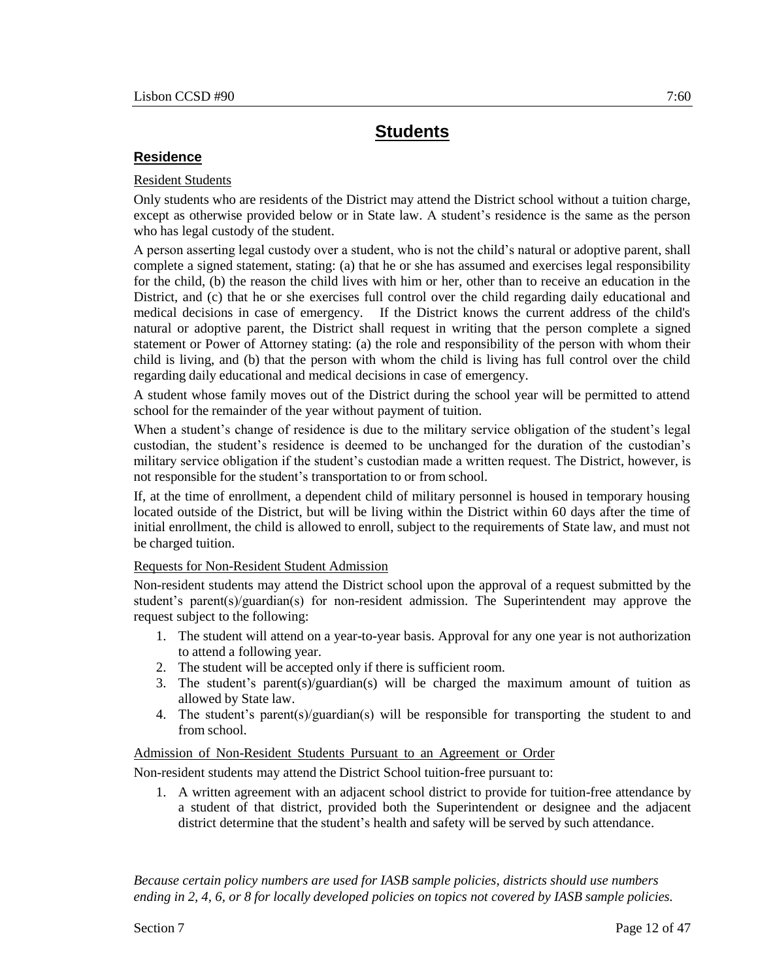### **Residence**

### Resident Students

Only students who are residents of the District may attend the District school without a tuition charge, except as otherwise provided below or in State law. A student's residence is the same as the person who has legal custody of the student.

A person asserting legal custody over a student, who is not the child's natural or adoptive parent, shall complete a signed statement, stating: (a) that he or she has assumed and exercises legal responsibility for the child, (b) the reason the child lives with him or her, other than to receive an education in the District, and (c) that he or she exercises full control over the child regarding daily educational and medical decisions in case of emergency. If the District knows the current address of the child's natural or adoptive parent, the District shall request in writing that the person complete a signed statement or Power of Attorney stating: (a) the role and responsibility of the person with whom their child is living, and (b) that the person with whom the child is living has full control over the child regarding daily educational and medical decisions in case of emergency.

A student whose family moves out of the District during the school year will be permitted to attend school for the remainder of the year without payment of tuition.

When a student's change of residence is due to the military service obligation of the student's legal custodian, the student's residence is deemed to be unchanged for the duration of the custodian's military service obligation if the student's custodian made a written request. The District, however, is not responsible for the student's transportation to or from school.

If, at the time of enrollment, a dependent child of military personnel is housed in temporary housing located outside of the District, but will be living within the District within 60 days after the time of initial enrollment, the child is allowed to enroll, subject to the requirements of State law, and must not be charged tuition.

### Requests for Non-Resident Student Admission

Non-resident students may attend the District school upon the approval of a request submitted by the student's parent(s)/guardian(s) for non-resident admission. The Superintendent may approve the request subject to the following:

- 1. The student will attend on a year-to-year basis. Approval for any one year is not authorization to attend a following year.
- 2. The student will be accepted only if there is sufficient room.
- 3. The student's parent(s)/guardian(s) will be charged the maximum amount of tuition as allowed by State law.
- 4. The student's parent(s)/guardian(s) will be responsible for transporting the student to and from school.

#### Admission of Non-Resident Students Pursuant to an Agreement or Order

Non-resident students may attend the District School tuition-free pursuant to:

1. A written agreement with an adjacent school district to provide for tuition-free attendance by a student of that district, provided both the Superintendent or designee and the adjacent district determine that the student's health and safety will be served by such attendance.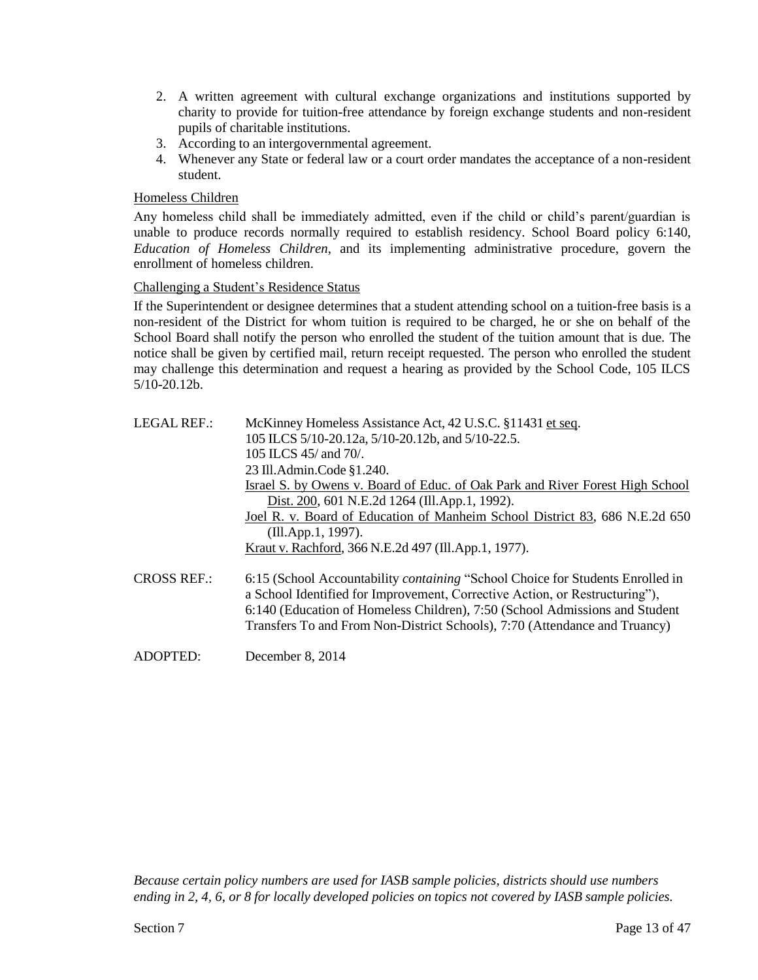- 2. A written agreement with cultural exchange organizations and institutions supported by charity to provide for tuition-free attendance by foreign exchange students and non-resident pupils of charitable institutions.
- 3. According to an intergovernmental agreement.
- 4. Whenever any State or federal law or a court order mandates the acceptance of a non-resident student.

### Homeless Children

Any homeless child shall be immediately admitted, even if the child or child's parent/guardian is unable to produce records normally required to establish residency. School Board policy 6:140, *Education of Homeless Children*, and its implementing administrative procedure, govern the enrollment of homeless children.

### Challenging a Student's Residence Status

If the Superintendent or designee determines that a student attending school on a tuition-free basis is a non-resident of the District for whom tuition is required to be charged, he or she on behalf of the School Board shall notify the person who enrolled the student of the tuition amount that is due. The notice shall be given by certified mail, return receipt requested. The person who enrolled the student may challenge this determination and request a hearing as provided by the School Code, 105 ILCS 5/10-20.12b.

| LEGAL REF.:        | McKinney Homeless Assistance Act, 42 U.S.C. §11431 et seq.<br>105 ILCS 5/10-20.12a, 5/10-20.12b, and 5/10-22.5.<br>105 ILCS $45/$ and 70/.<br>23 Ill.Admin.Code §1.240.                                                                                                                                                           |
|--------------------|-----------------------------------------------------------------------------------------------------------------------------------------------------------------------------------------------------------------------------------------------------------------------------------------------------------------------------------|
|                    | Israel S. by Owens v. Board of Educ. of Oak Park and River Forest High School<br>Dist. 200, 601 N.E.2d 1264 (Ill.App.1, 1992).                                                                                                                                                                                                    |
|                    | Joel R. v. Board of Education of Manheim School District 83, 686 N.E.2d 650<br>(Ill.App.1, 1997).                                                                                                                                                                                                                                 |
|                    | Kraut v. Rachford, 366 N.E.2d 497 (Ill.App.1, 1977).                                                                                                                                                                                                                                                                              |
| <b>CROSS REF.:</b> | 6:15 (School Accountability <i>containing</i> "School Choice for Students Enrolled in<br>a School Identified for Improvement, Corrective Action, or Restructuring"),<br>6:140 (Education of Homeless Children), 7:50 (School Admissions and Student<br>Transfers To and From Non-District Schools), 7:70 (Attendance and Truancy) |
| ADOPTED:           | December 8, 2014                                                                                                                                                                                                                                                                                                                  |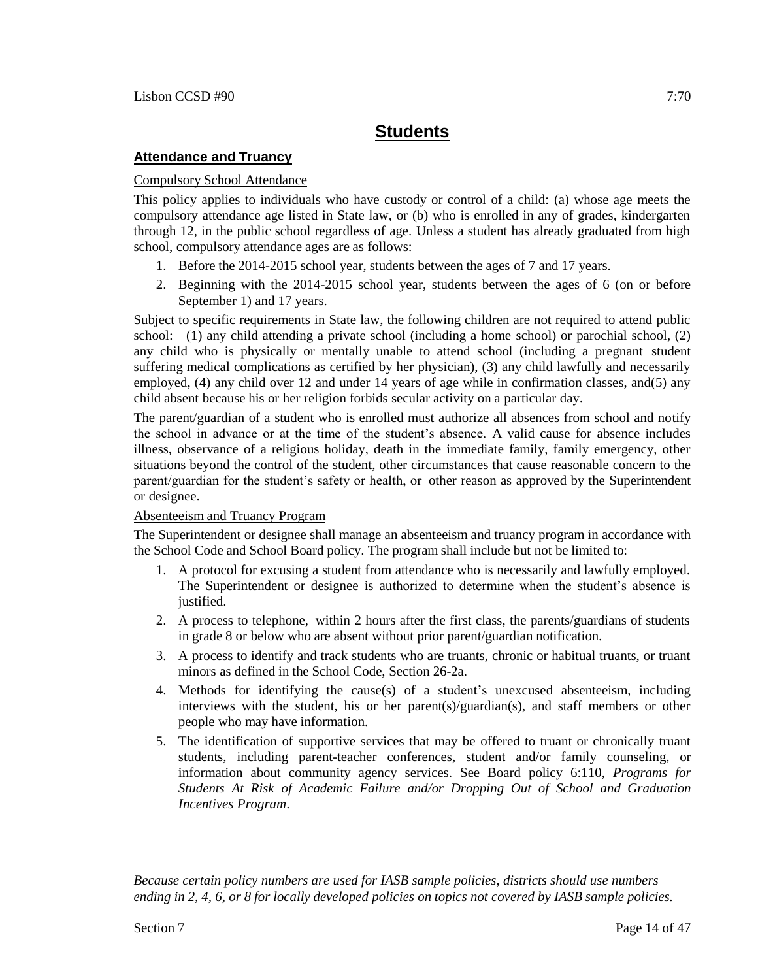## **Attendance and Truancy**

### Compulsory School Attendance

This policy applies to individuals who have custody or control of a child: (a) whose age meets the compulsory attendance age listed in State law, or (b) who is enrolled in any of grades, kindergarten through 12, in the public school regardless of age. Unless a student has already graduated from high school, compulsory attendance ages are as follows:

- 1. Before the 2014-2015 school year, students between the ages of 7 and 17 years.
- 2. Beginning with the 2014-2015 school year, students between the ages of 6 (on or before September 1) and 17 years.

Subject to specific requirements in State law, the following children are not required to attend public school: (1) any child attending a private school (including a home school) or parochial school, (2) any child who is physically or mentally unable to attend school (including a pregnant student suffering medical complications as certified by her physician), (3) any child lawfully and necessarily employed, (4) any child over 12 and under 14 years of age while in confirmation classes, and(5) any child absent because his or her religion forbids secular activity on a particular day.

The parent/guardian of a student who is enrolled must authorize all absences from school and notify the school in advance or at the time of the student's absence. A valid cause for absence includes illness, observance of a religious holiday, death in the immediate family, family emergency, other situations beyond the control of the student, other circumstances that cause reasonable concern to the parent/guardian for the student's safety or health, or other reason as approved by the Superintendent or designee.

### Absenteeism and Truancy Program

The Superintendent or designee shall manage an absenteeism and truancy program in accordance with the School Code and School Board policy. The program shall include but not be limited to:

- 1. A protocol for excusing a student from attendance who is necessarily and lawfully employed. The Superintendent or designee is authorized to determine when the student's absence is justified.
- 2. A process to telephone, within 2 hours after the first class, the parents/guardians of students in grade 8 or below who are absent without prior parent/guardian notification.
- 3. A process to identify and track students who are truants, chronic or habitual truants, or truant minors as defined in the School Code, Section 26-2a.
- 4. Methods for identifying the cause(s) of a student's unexcused absenteeism, including interviews with the student, his or her parent(s)/guardian(s), and staff members or other people who may have information.
- 5. The identification of supportive services that may be offered to truant or chronically truant students, including parent-teacher conferences, student and/or family counseling, or information about community agency services. See Board policy 6:110, *Programs for Students At Risk of Academic Failure and/or Dropping Out of School and Graduation Incentives Program*.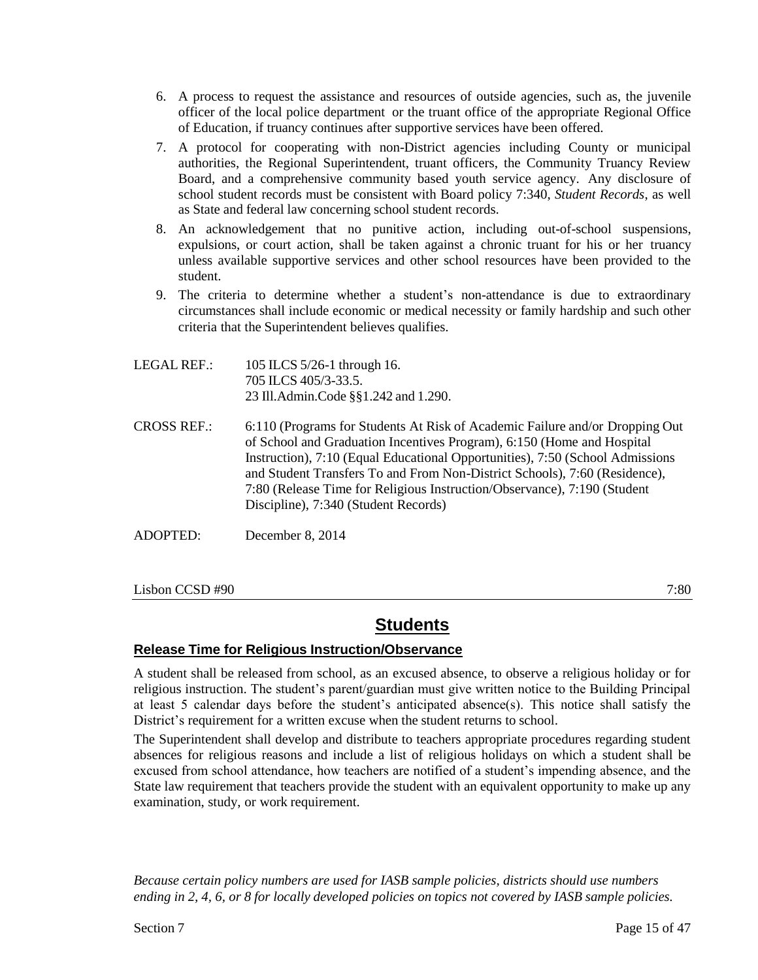- 6. A process to request the assistance and resources of outside agencies, such as, the juvenile officer of the local police department or the truant office of the appropriate Regional Office of Education, if truancy continues after supportive services have been offered.
- 7. A protocol for cooperating with non-District agencies including County or municipal authorities, the Regional Superintendent, truant officers, the Community Truancy Review Board, and a comprehensive community based youth service agency. Any disclosure of school student records must be consistent with Board policy 7:340, *Student Records*, as well as State and federal law concerning school student records.
- 8. An acknowledgement that no punitive action, including out-of-school suspensions, expulsions, or court action, shall be taken against a chronic truant for his or her truancy unless available supportive services and other school resources have been provided to the student.
- 9. The criteria to determine whether a student's non-attendance is due to extraordinary circumstances shall include economic or medical necessity or family hardship and such other criteria that the Superintendent believes qualifies.
- LEGAL REF.: 105 ILCS 5/26-1 through 16. 705 ILCS 405/3-33.5. 23 Ill.Admin.Code §§1.242 and 1.290.
- CROSS REF.: 6:110 (Programs for Students At Risk of Academic Failure and/or Dropping Out of School and Graduation Incentives Program), 6:150 (Home and Hospital Instruction), 7:10 (Equal Educational Opportunities), 7:50 (School Admissions and Student Transfers To and From Non-District Schools), 7:60 (Residence), 7:80 (Release Time for Religious Instruction/Observance), 7:190 (Student Discipline), 7:340 (Student Records)
- ADOPTED: December 8, 2014

 $\sim 7.80$  7:80

# **Students**

## **Release Time for Religious Instruction/Observance**

A student shall be released from school, as an excused absence, to observe a religious holiday or for religious instruction. The student's parent/guardian must give written notice to the Building Principal at least 5 calendar days before the student's anticipated absence(s). This notice shall satisfy the District's requirement for a written excuse when the student returns to school.

The Superintendent shall develop and distribute to teachers appropriate procedures regarding student absences for religious reasons and include a list of religious holidays on which a student shall be excused from school attendance, how teachers are notified of a student's impending absence, and the State law requirement that teachers provide the student with an equivalent opportunity to make up any examination, study, or work requirement.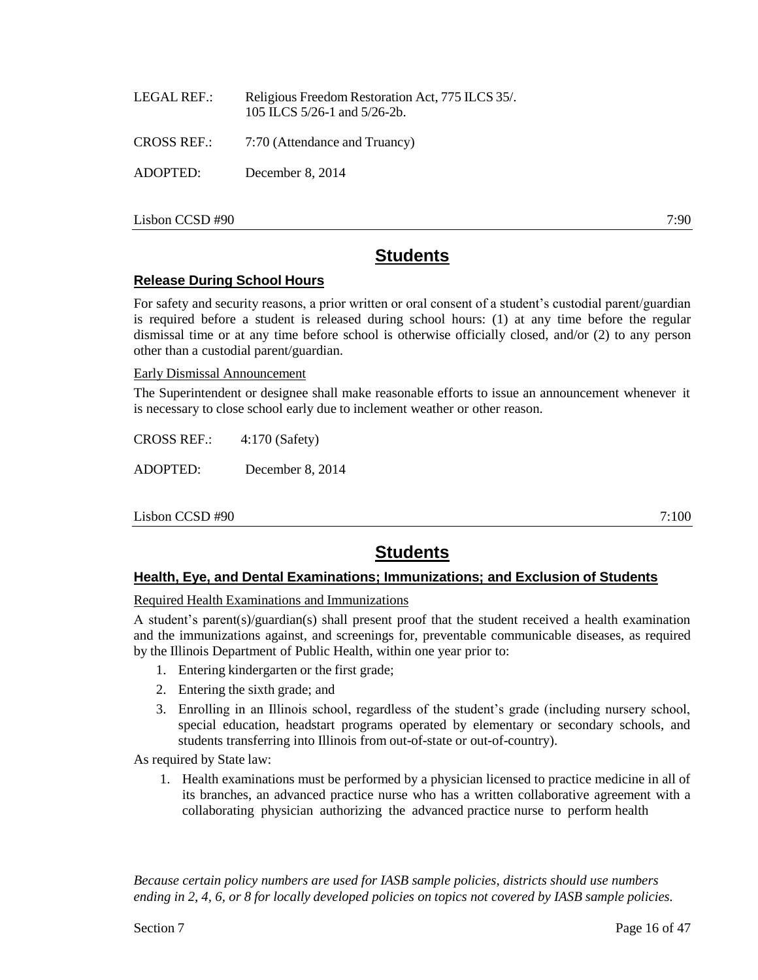|          | 105 ILCS $5/26$ -1 and $5/26$ -2b.        |
|----------|-------------------------------------------|
|          | CROSS REF.: 7:70 (Attendance and Truancy) |
| ADOPTED: | December 8, 2014                          |
|          |                                           |

LEGAL REF.: Religious Freedom Restoration Act, 775 ILCS 35/.

 $\sim$  7:90 7:90

# **Students**

## **Release During School Hours**

For safety and security reasons, a prior written or oral consent of a student's custodial parent/guardian is required before a student is released during school hours: (1) at any time before the regular dismissal time or at any time before school is otherwise officially closed, and/or (2) to any person other than a custodial parent/guardian.

Early Dismissal Announcement

The Superintendent or designee shall make reasonable efforts to issue an announcement whenever it is necessary to close school early due to inclement weather or other reason.

CROSS REF.: 4:170 (Safety)

ADOPTED: December 8, 2014

 $\sim 7:100$  7:100

# **Students**

## **Health, Eye, and Dental Examinations; Immunizations; and Exclusion of Students**

Required Health Examinations and Immunizations

A student's parent(s)/guardian(s) shall present proof that the student received a health examination and the immunizations against, and screenings for, preventable communicable diseases, as required by the Illinois Department of Public Health, within one year prior to:

- 1. Entering kindergarten or the first grade;
- 2. Entering the sixth grade; and
- 3. Enrolling in an Illinois school, regardless of the student's grade (including nursery school, special education, headstart programs operated by elementary or secondary schools, and students transferring into Illinois from out-of-state or out-of-country).

As required by State law:

1. Health examinations must be performed by a physician licensed to practice medicine in all of its branches, an advanced practice nurse who has a written collaborative agreement with a collaborating physician authorizing the advanced practice nurse to perform health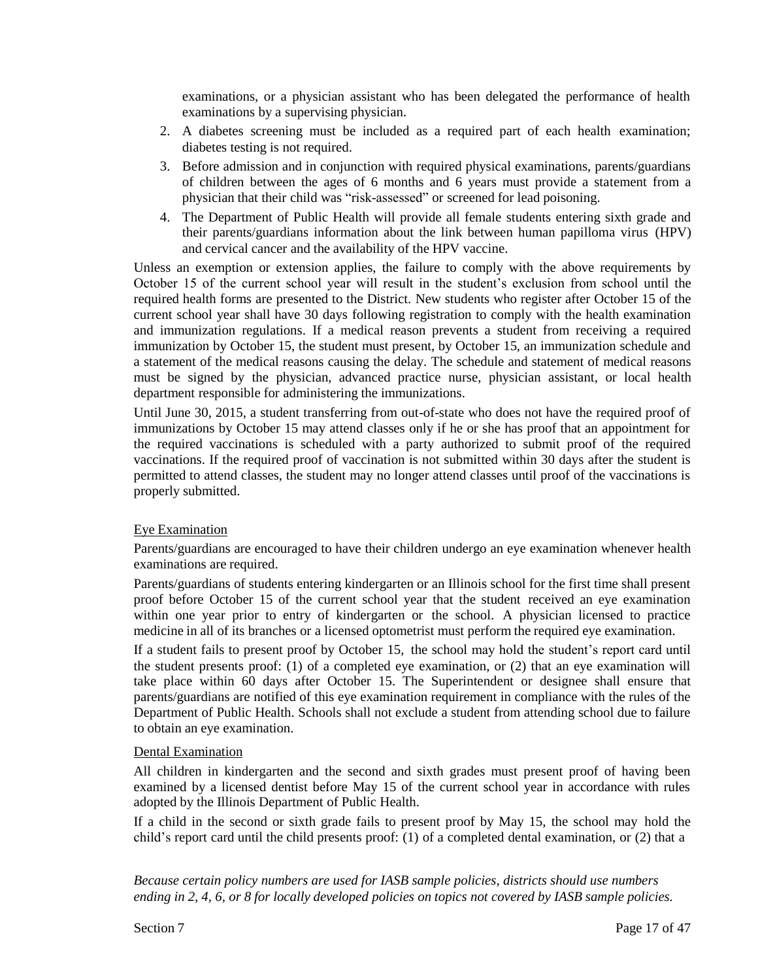examinations, or a physician assistant who has been delegated the performance of health examinations by a supervising physician.

- 2. A diabetes screening must be included as a required part of each health examination; diabetes testing is not required.
- 3. Before admission and in conjunction with required physical examinations, parents/guardians of children between the ages of 6 months and 6 years must provide a statement from a physician that their child was "risk-assessed" or screened for lead poisoning.
- 4. The Department of Public Health will provide all female students entering sixth grade and their parents/guardians information about the link between human papilloma virus (HPV) and cervical cancer and the availability of the HPV vaccine.

Unless an exemption or extension applies, the failure to comply with the above requirements by October 15 of the current school year will result in the student's exclusion from school until the required health forms are presented to the District. New students who register after October 15 of the current school year shall have 30 days following registration to comply with the health examination and immunization regulations. If a medical reason prevents a student from receiving a required immunization by October 15, the student must present, by October 15, an immunization schedule and a statement of the medical reasons causing the delay. The schedule and statement of medical reasons must be signed by the physician, advanced practice nurse, physician assistant, or local health department responsible for administering the immunizations.

Until June 30, 2015, a student transferring from out-of-state who does not have the required proof of immunizations by October 15 may attend classes only if he or she has proof that an appointment for the required vaccinations is scheduled with a party authorized to submit proof of the required vaccinations. If the required proof of vaccination is not submitted within 30 days after the student is permitted to attend classes, the student may no longer attend classes until proof of the vaccinations is properly submitted.

### Eye Examination

Parents/guardians are encouraged to have their children undergo an eye examination whenever health examinations are required.

Parents/guardians of students entering kindergarten or an Illinois school for the first time shall present proof before October 15 of the current school year that the student received an eye examination within one year prior to entry of kindergarten or the school. A physician licensed to practice medicine in all of its branches or a licensed optometrist must perform the required eye examination.

If a student fails to present proof by October 15, the school may hold the student's report card until the student presents proof: (1) of a completed eye examination, or (2) that an eye examination will take place within 60 days after October 15. The Superintendent or designee shall ensure that parents/guardians are notified of this eye examination requirement in compliance with the rules of the Department of Public Health. Schools shall not exclude a student from attending school due to failure to obtain an eye examination.

#### Dental Examination

All children in kindergarten and the second and sixth grades must present proof of having been examined by a licensed dentist before May 15 of the current school year in accordance with rules adopted by the Illinois Department of Public Health.

If a child in the second or sixth grade fails to present proof by May 15, the school may hold the child's report card until the child presents proof: (1) of a completed dental examination, or (2) that a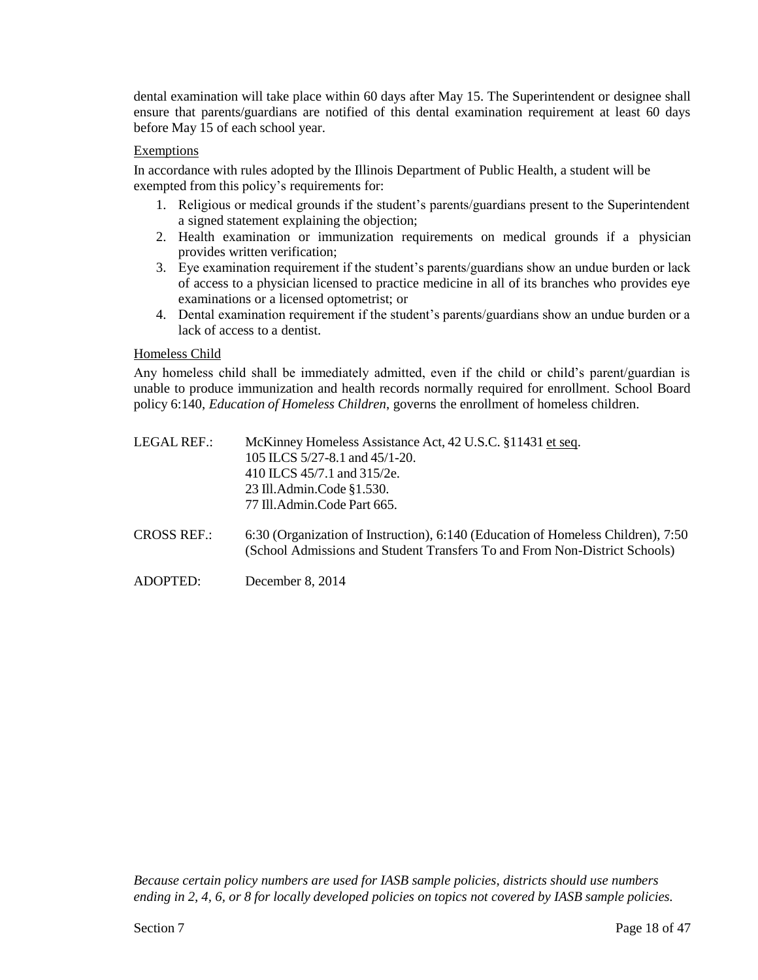dental examination will take place within 60 days after May 15. The Superintendent or designee shall ensure that parents/guardians are notified of this dental examination requirement at least 60 days before May 15 of each school year.

### Exemptions

In accordance with rules adopted by the Illinois Department of Public Health, a student will be exempted from this policy's requirements for:

- 1. Religious or medical grounds if the student's parents/guardians present to the Superintendent a signed statement explaining the objection;
- 2. Health examination or immunization requirements on medical grounds if a physician provides written verification;
- 3. Eye examination requirement if the student's parents/guardians show an undue burden or lack of access to a physician licensed to practice medicine in all of its branches who provides eye examinations or a licensed optometrist; or
- 4. Dental examination requirement if the student's parents/guardians show an undue burden or a lack of access to a dentist.

### Homeless Child

Any homeless child shall be immediately admitted, even if the child or child's parent/guardian is unable to produce immunization and health records normally required for enrollment. School Board policy 6:140, *Education of Homeless Children*, governs the enrollment of homeless children.

| LEGAL REF.: | McKinney Homeless Assistance Act, 42 U.S.C. §11431 et seq. |
|-------------|------------------------------------------------------------|
|             | 105 ILCS $5/27-8.1$ and $45/1-20$ .                        |
|             | 410 ILCS 45/7.1 and 315/2e.                                |
|             | 23 Ill.Admin.Code §1.530.                                  |
|             | 77 Ill.Admin.Code Part 665.                                |
|             |                                                            |

- CROSS REF.: 6:30 (Organization of Instruction), 6:140 (Education of Homeless Children), 7:50 (School Admissions and Student Transfers To and From Non-District Schools)
- ADOPTED: December 8, 2014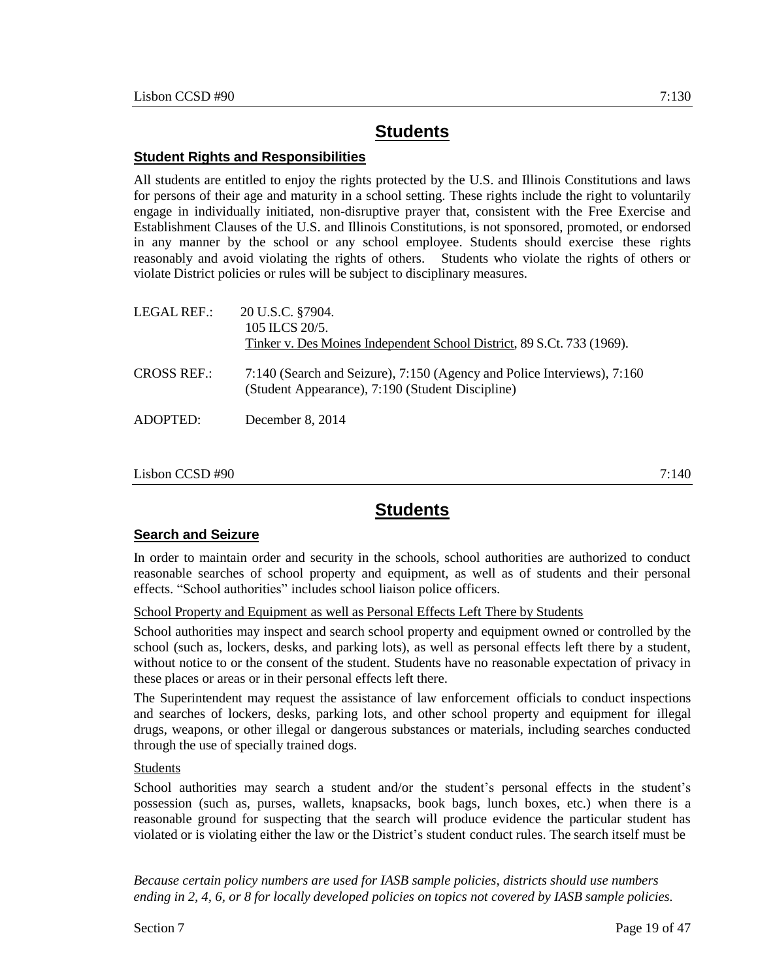## **Student Rights and Responsibilities**

All students are entitled to enjoy the rights protected by the U.S. and Illinois Constitutions and laws for persons of their age and maturity in a school setting. These rights include the right to voluntarily engage in individually initiated, non-disruptive prayer that, consistent with the Free Exercise and Establishment Clauses of the U.S. and Illinois Constitutions, is not sponsored, promoted, or endorsed in any manner by the school or any school employee. Students should exercise these rights reasonably and avoid violating the rights of others. Students who violate the rights of others or violate District policies or rules will be subject to disciplinary measures.

| LEGAL REF.:        | 20 U.S.C. §7904.<br>105 ILCS $20/5$ .<br>Tinker v. Des Moines Independent School District, 89 S.Ct. 733 (1969).             |
|--------------------|-----------------------------------------------------------------------------------------------------------------------------|
| <b>CROSS REF.:</b> | 7:140 (Search and Seizure), 7:150 (Agency and Police Interviews), 7:160<br>(Student Appearance), 7:190 (Student Discipline) |
| ADOPTED:           | December 8, 2014                                                                                                            |

#### Lisbon CCSD #90 7:140

# **Students**

## **Search and Seizure**

In order to maintain order and security in the schools, school authorities are authorized to conduct reasonable searches of school property and equipment, as well as of students and their personal effects. "School authorities" includes school liaison police officers.

School Property and Equipment as well as Personal Effects Left There by Students

School authorities may inspect and search school property and equipment owned or controlled by the school (such as, lockers, desks, and parking lots), as well as personal effects left there by a student, without notice to or the consent of the student. Students have no reasonable expectation of privacy in these places or areas or in their personal effects left there.

The Superintendent may request the assistance of law enforcement officials to conduct inspections and searches of lockers, desks, parking lots, and other school property and equipment for illegal drugs, weapons, or other illegal or dangerous substances or materials, including searches conducted through the use of specially trained dogs.

### **Students**

School authorities may search a student and/or the student's personal effects in the student's possession (such as, purses, wallets, knapsacks, book bags, lunch boxes, etc.) when there is a reasonable ground for suspecting that the search will produce evidence the particular student has violated or is violating either the law or the District's student conduct rules. The search itself must be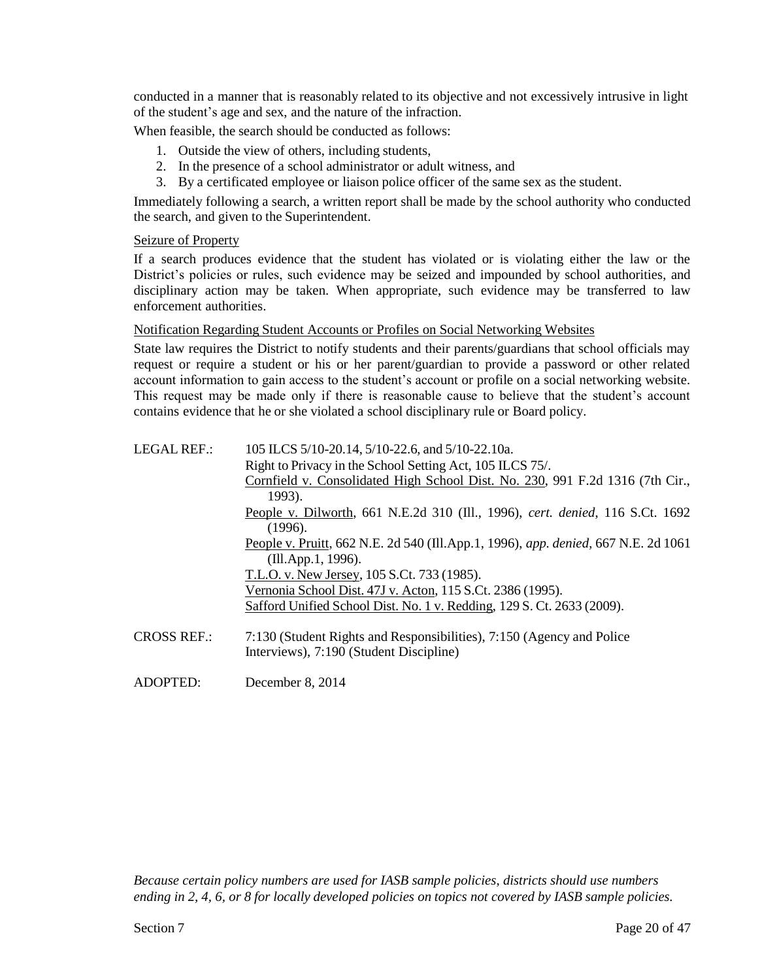conducted in a manner that is reasonably related to its objective and not excessively intrusive in light of the student's age and sex, and the nature of the infraction.

When feasible, the search should be conducted as follows:

- 1. Outside the view of others, including students,
- 2. In the presence of a school administrator or adult witness, and
- 3. By a certificated employee or liaison police officer of the same sex as the student.

Immediately following a search, a written report shall be made by the school authority who conducted the search, and given to the Superintendent.

#### Seizure of Property

If a search produces evidence that the student has violated or is violating either the law or the District's policies or rules, such evidence may be seized and impounded by school authorities, and disciplinary action may be taken. When appropriate, such evidence may be transferred to law enforcement authorities.

#### Notification Regarding Student Accounts or Profiles on Social Networking Websites

State law requires the District to notify students and their parents/guardians that school officials may request or require a student or his or her parent/guardian to provide a password or other related account information to gain access to the student's account or profile on a social networking website. This request may be made only if there is reasonable cause to believe that the student's account contains evidence that he or she violated a school disciplinary rule or Board policy.

| 105 ILCS 5/10-20.14, 5/10-22.6, and 5/10-22.10a.                                   |
|------------------------------------------------------------------------------------|
| Right to Privacy in the School Setting Act, 105 ILCS 75/.                          |
| Cornfield v. Consolidated High School Dist. No. 230, 991 F.2d 1316 (7th Cir.,      |
| 1993).                                                                             |
| People v. Dilworth, 661 N.E.2d 310 (Ill., 1996), cert. denied, 116 S.Ct. 1692      |
| (1996).                                                                            |
| People v. Pruitt, 662 N.E. 2d 540 (Ill.App.1, 1996), app. denied, 667 N.E. 2d 1061 |
| (Ill.App.1, 1996).                                                                 |
| T.L.O. v. New Jersey, 105 S.Ct. 733 (1985).                                        |
| Vernonia School Dist. 47J v. Acton, 115 S.Ct. 2386 (1995).                         |
| Safford Unified School Dist. No. 1 v. Redding, 129 S. Ct. 2633 (2009).             |
|                                                                                    |
| 7:130 (Student Rights and Responsibilities), 7:150 (Agency and Police              |
| Interviews), 7:190 (Student Discipline)                                            |
|                                                                                    |

ADOPTED: December 8, 2014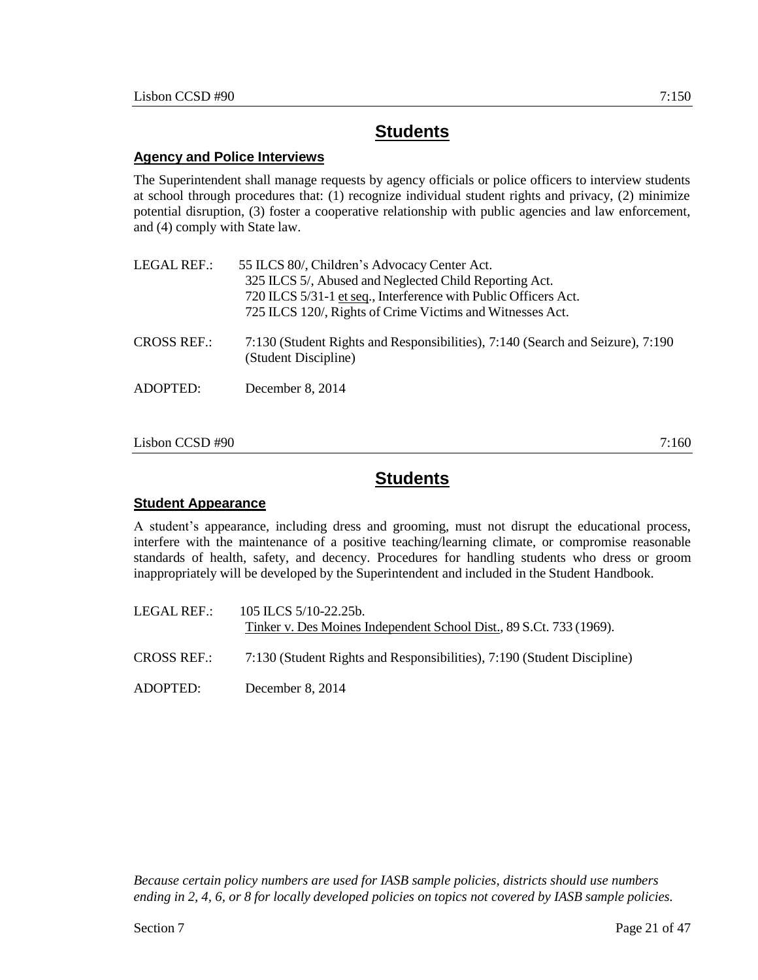### **Agency and Police Interviews**

The Superintendent shall manage requests by agency officials or police officers to interview students at school through procedures that: (1) recognize individual student rights and privacy, (2) minimize potential disruption, (3) foster a cooperative relationship with public agencies and law enforcement, and (4) comply with State law.

| <b>LEGAL REF.:</b> | 55 ILCS 80/, Children's Advocacy Center Act.<br>325 ILCS 5/, Abused and Neglected Child Reporting Act.<br>720 ILCS 5/31-1 et seq., Interference with Public Officers Act.<br>725 ILCS 120/, Rights of Crime Victims and Witnesses Act. |
|--------------------|----------------------------------------------------------------------------------------------------------------------------------------------------------------------------------------------------------------------------------------|
| <b>CROSS REF.:</b> | 7:130 (Student Rights and Responsibilities), 7:140 (Search and Seizure), 7:190<br>(Student Discipline)                                                                                                                                 |
| ADOPTED:           | December 8, 2014                                                                                                                                                                                                                       |

#### $Lisbon CCSD #90$  7:160

# **Students**

### **Student Appearance**

A student's appearance, including dress and grooming, must not disrupt the educational process, interfere with the maintenance of a positive teaching/learning climate, or compromise reasonable standards of health, safety, and decency. Procedures for handling students who dress or groom inappropriately will be developed by the Superintendent and included in the Student Handbook.

LEGAL REF.: 105 ILCS 5/10-22.25b. Tinker v. Des Moines Independent School Dist., 89 S.Ct. 733 (1969). CROSS REF.: 7:130 (Student Rights and Responsibilities), 7:190 (Student Discipline)

ADOPTED: December 8, 2014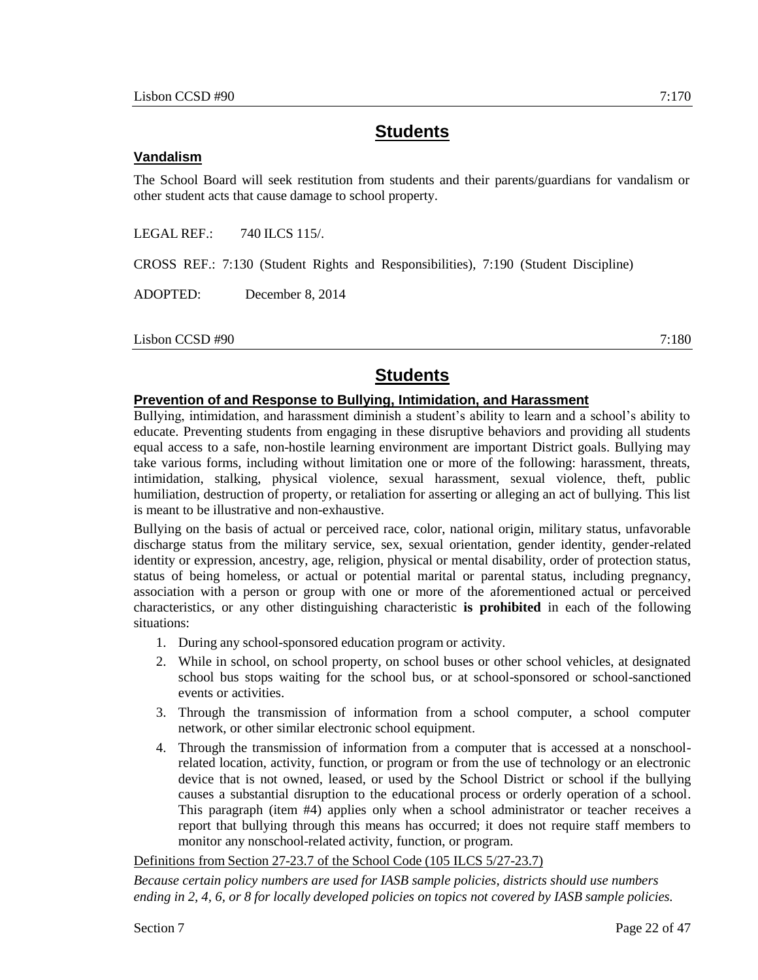#### **Vandalism**

The School Board will seek restitution from students and their parents/guardians for vandalism or other student acts that cause damage to school property.

LEGAL REF.: 740 ILCS 115/.

CROSS REF.: 7:130 (Student Rights and Responsibilities), 7:190 (Student Discipline)

ADOPTED: December 8, 2014

Lisbon CCSD #90 7:180

# **Students**

#### **Prevention of and Response to Bullying, Intimidation, and Harassment**

Bullying, intimidation, and harassment diminish a student's ability to learn and a school's ability to educate. Preventing students from engaging in these disruptive behaviors and providing all students equal access to a safe, non-hostile learning environment are important District goals. Bullying may take various forms, including without limitation one or more of the following: harassment, threats, intimidation, stalking, physical violence, sexual harassment, sexual violence, theft, public humiliation, destruction of property, or retaliation for asserting or alleging an act of bullying. This list is meant to be illustrative and non-exhaustive.

Bullying on the basis of actual or perceived race, color, national origin, military status, unfavorable discharge status from the military service, sex, sexual orientation, gender identity, gender-related identity or expression, ancestry, age, religion, physical or mental disability, order of protection status, status of being homeless, or actual or potential marital or parental status, including pregnancy, association with a person or group with one or more of the aforementioned actual or perceived characteristics, or any other distinguishing characteristic **is prohibited** in each of the following situations:

- 1. During any school-sponsored education program or activity.
- 2. While in school, on school property, on school buses or other school vehicles, at designated school bus stops waiting for the school bus, or at school-sponsored or school-sanctioned events or activities.
- 3. Through the transmission of information from a school computer, a school computer network, or other similar electronic school equipment.
- 4. Through the transmission of information from a computer that is accessed at a nonschoolrelated location, activity, function, or program or from the use of technology or an electronic device that is not owned, leased, or used by the School District or school if the bullying causes a substantial disruption to the educational process or orderly operation of a school. This paragraph (item #4) applies only when a school administrator or teacher receives a report that bullying through this means has occurred; it does not require staff members to monitor any nonschool-related activity, function, or program.

Definitions from Section 27-23.7 of the School Code (105 ILCS 5/27-23.7)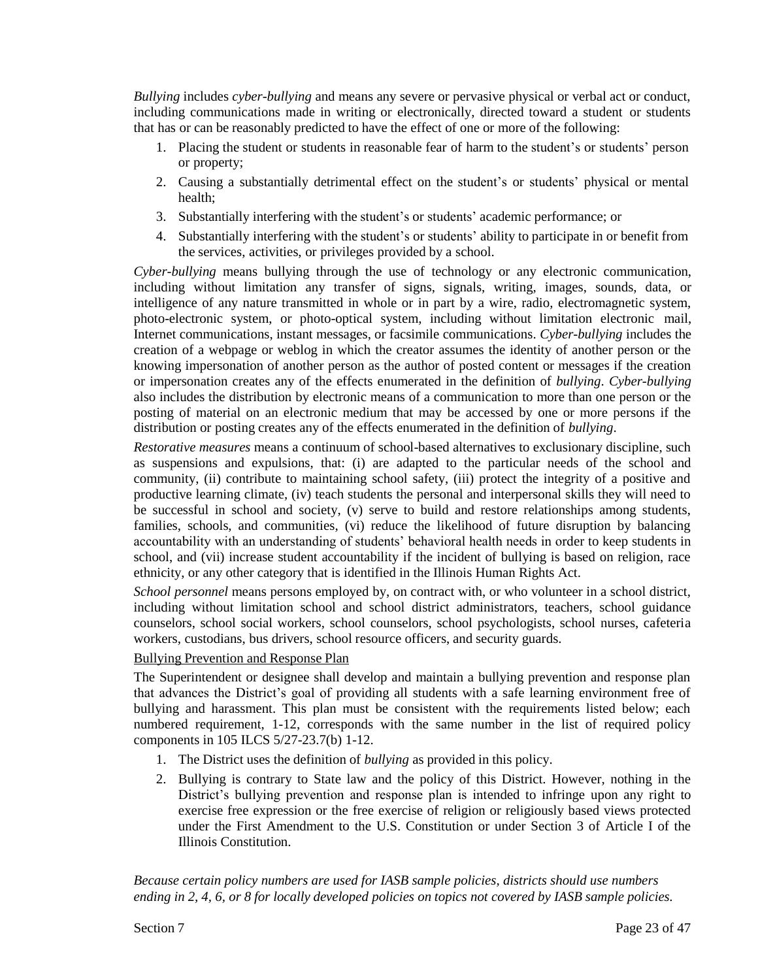*Bullying* includes *cyber-bullying* and means any severe or pervasive physical or verbal act or conduct, including communications made in writing or electronically, directed toward a student or students that has or can be reasonably predicted to have the effect of one or more of the following:

- 1. Placing the student or students in reasonable fear of harm to the student's or students' person or property;
- 2. Causing a substantially detrimental effect on the student's or students' physical or mental health;
- 3. Substantially interfering with the student's or students' academic performance; or
- 4. Substantially interfering with the student's or students' ability to participate in or benefit from the services, activities, or privileges provided by a school.

*Cyber-bullying* means bullying through the use of technology or any electronic communication, including without limitation any transfer of signs, signals, writing, images, sounds, data, or intelligence of any nature transmitted in whole or in part by a wire, radio, electromagnetic system, photo-electronic system, or photo-optical system, including without limitation electronic mail, Internet communications, instant messages, or facsimile communications. *Cyber-bullying* includes the creation of a webpage or weblog in which the creator assumes the identity of another person or the knowing impersonation of another person as the author of posted content or messages if the creation or impersonation creates any of the effects enumerated in the definition of *bullying*. *Cyber-bullying* also includes the distribution by electronic means of a communication to more than one person or the posting of material on an electronic medium that may be accessed by one or more persons if the distribution or posting creates any of the effects enumerated in the definition of *bullying*.

*Restorative measures* means a continuum of school-based alternatives to exclusionary discipline, such as suspensions and expulsions, that: (i) are adapted to the particular needs of the school and community, (ii) contribute to maintaining school safety, (iii) protect the integrity of a positive and productive learning climate, (iv) teach students the personal and interpersonal skills they will need to be successful in school and society, (v) serve to build and restore relationships among students, families, schools, and communities, (vi) reduce the likelihood of future disruption by balancing accountability with an understanding of students' behavioral health needs in order to keep students in school, and (vii) increase student accountability if the incident of bullying is based on religion, race ethnicity, or any other category that is identified in the Illinois Human Rights Act.

*School personnel* means persons employed by, on contract with, or who volunteer in a school district, including without limitation school and school district administrators, teachers, school guidance counselors, school social workers, school counselors, school psychologists, school nurses, cafeteria workers, custodians, bus drivers, school resource officers, and security guards.

## Bullying Prevention and Response Plan

The Superintendent or designee shall develop and maintain a bullying prevention and response plan that advances the District's goal of providing all students with a safe learning environment free of bullying and harassment. This plan must be consistent with the requirements listed below; each numbered requirement, 1-12, corresponds with the same number in the list of required policy components in 105 ILCS 5/27-23.7(b) 1-12.

- 1. The District uses the definition of *bullying* as provided in this policy.
- 2. Bullying is contrary to State law and the policy of this District. However, nothing in the District's bullying prevention and response plan is intended to infringe upon any right to exercise free expression or the free exercise of religion or religiously based views protected under the First Amendment to the U.S. Constitution or under Section 3 of Article I of the Illinois Constitution.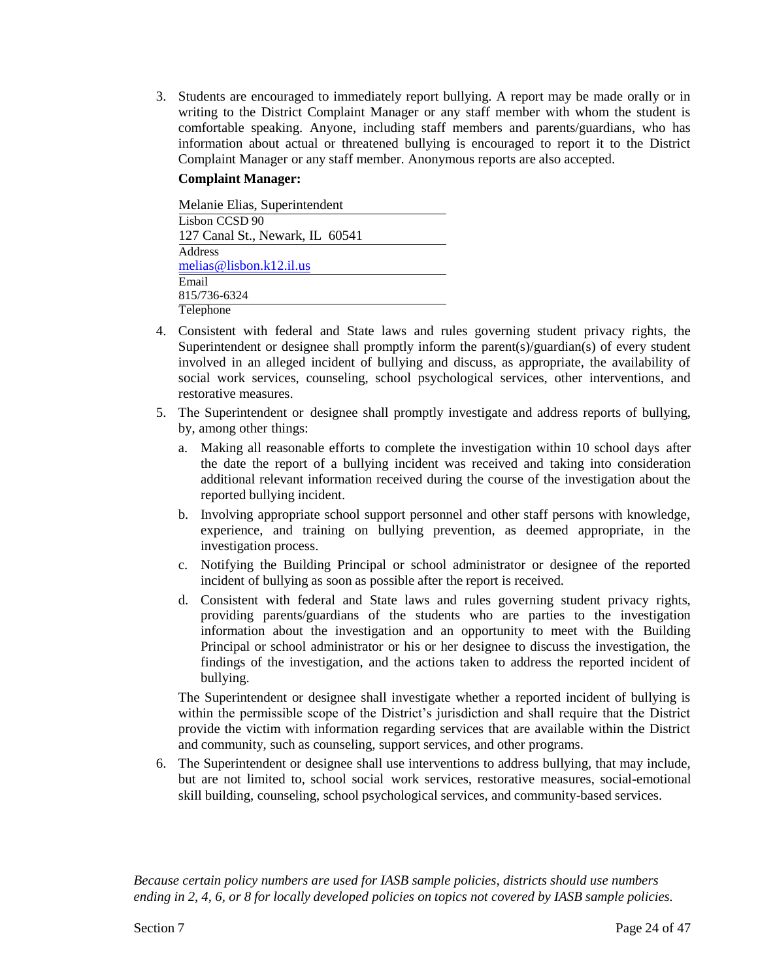3. Students are encouraged to immediately report bullying. A report may be made orally or in writing to the District Complaint Manager or any staff member with whom the student is comfortable speaking. Anyone, including staff members and parents/guardians, who has information about actual or threatened bullying is encouraged to report it to the District Complaint Manager or any staff member. Anonymous reports are also accepted.

#### **Complaint Manager:**

| Melanie Elias, Superintendent   |
|---------------------------------|
| Lisbon CCSD 90                  |
| 127 Canal St., Newark, IL 60541 |
| Address                         |
| melias@lisbon. $k12$ .il.us     |
| Email                           |
| 815/736-6324                    |
| Telephone                       |

- 4. Consistent with federal and State laws and rules governing student privacy rights, the Superintendent or designee shall promptly inform the parent(s)/guardian(s) of every student involved in an alleged incident of bullying and discuss, as appropriate, the availability of social work services, counseling, school psychological services, other interventions, and restorative measures.
- 5. The Superintendent or designee shall promptly investigate and address reports of bullying, by, among other things:
	- a. Making all reasonable efforts to complete the investigation within 10 school days after the date the report of a bullying incident was received and taking into consideration additional relevant information received during the course of the investigation about the reported bullying incident.
	- b. Involving appropriate school support personnel and other staff persons with knowledge, experience, and training on bullying prevention, as deemed appropriate, in the investigation process.
	- c. Notifying the Building Principal or school administrator or designee of the reported incident of bullying as soon as possible after the report is received.
	- d. Consistent with federal and State laws and rules governing student privacy rights, providing parents/guardians of the students who are parties to the investigation information about the investigation and an opportunity to meet with the Building Principal or school administrator or his or her designee to discuss the investigation, the findings of the investigation, and the actions taken to address the reported incident of bullying.

The Superintendent or designee shall investigate whether a reported incident of bullying is within the permissible scope of the District's jurisdiction and shall require that the District provide the victim with information regarding services that are available within the District and community, such as counseling, support services, and other programs.

6. The Superintendent or designee shall use interventions to address bullying, that may include, but are not limited to, school social work services, restorative measures, social-emotional skill building, counseling, school psychological services, and community-based services.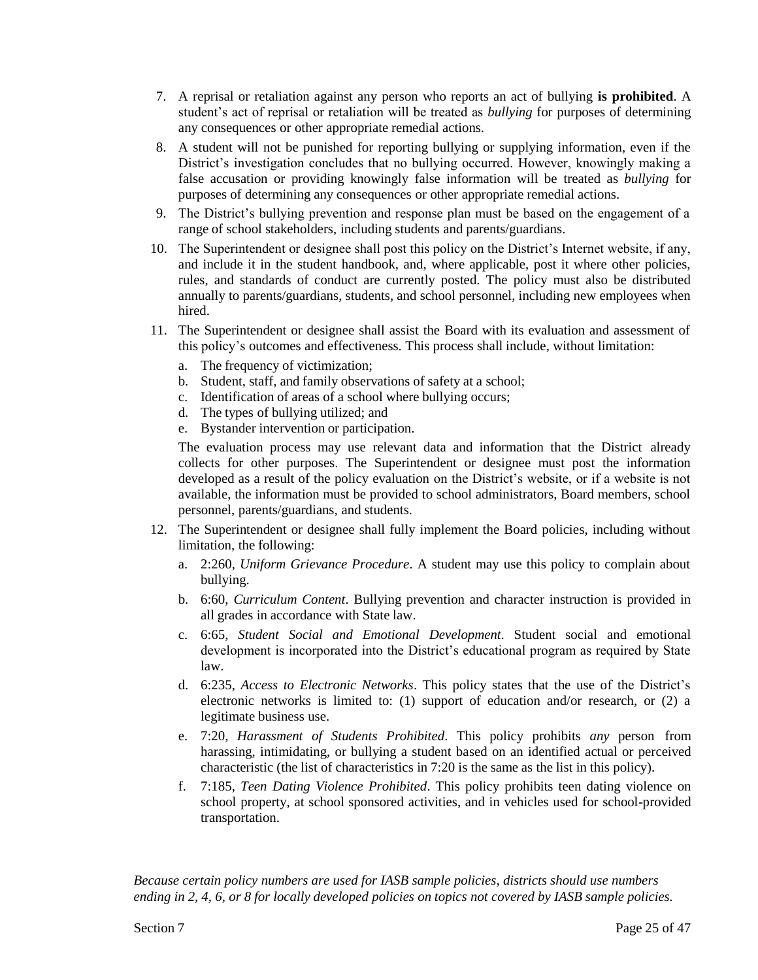- 7. A reprisal or retaliation against any person who reports an act of bullying **is prohibited**. A student's act of reprisal or retaliation will be treated as *bullying* for purposes of determining any consequences or other appropriate remedial actions.
- 8. A student will not be punished for reporting bullying or supplying information, even if the District's investigation concludes that no bullying occurred. However, knowingly making a false accusation or providing knowingly false information will be treated as *bullying* for purposes of determining any consequences or other appropriate remedial actions.
- 9. The District's bullying prevention and response plan must be based on the engagement of a range of school stakeholders, including students and parents/guardians.
- 10. The Superintendent or designee shall post this policy on the District's Internet website, if any, and include it in the student handbook, and, where applicable, post it where other policies, rules, and standards of conduct are currently posted. The policy must also be distributed annually to parents/guardians, students, and school personnel, including new employees when hired.
- 11. The Superintendent or designee shall assist the Board with its evaluation and assessment of this policy's outcomes and effectiveness. This process shall include, without limitation:
	- a. The frequency of victimization;
	- b. Student, staff, and family observations of safety at a school;
	- c. Identification of areas of a school where bullying occurs;
	- d. The types of bullying utilized; and
	- e. Bystander intervention or participation.

The evaluation process may use relevant data and information that the District already collects for other purposes. The Superintendent or designee must post the information developed as a result of the policy evaluation on the District's website, or if a website is not available, the information must be provided to school administrators, Board members, school personnel, parents/guardians, and students.

- 12. The Superintendent or designee shall fully implement the Board policies, including without limitation, the following:
	- a. 2:260, *Uniform Grievance Procedure*. A student may use this policy to complain about bullying.
	- b. 6:60, *Curriculum Content*. Bullying prevention and character instruction is provided in all grades in accordance with State law.
	- c. 6:65, *Student Social and Emotional Development*. Student social and emotional development is incorporated into the District's educational program as required by State law.
	- d. 6:235, *Access to Electronic Networks*. This policy states that the use of the District's electronic networks is limited to: (1) support of education and/or research, or (2) a legitimate business use.
	- e. 7:20, *Harassment of Students Prohibited*. This policy prohibits *any* person from harassing, intimidating, or bullying a student based on an identified actual or perceived characteristic (the list of characteristics in 7:20 is the same as the list in this policy).
	- f. 7:185, *Teen Dating Violence Prohibited*. This policy prohibits teen dating violence on school property, at school sponsored activities, and in vehicles used for school-provided transportation.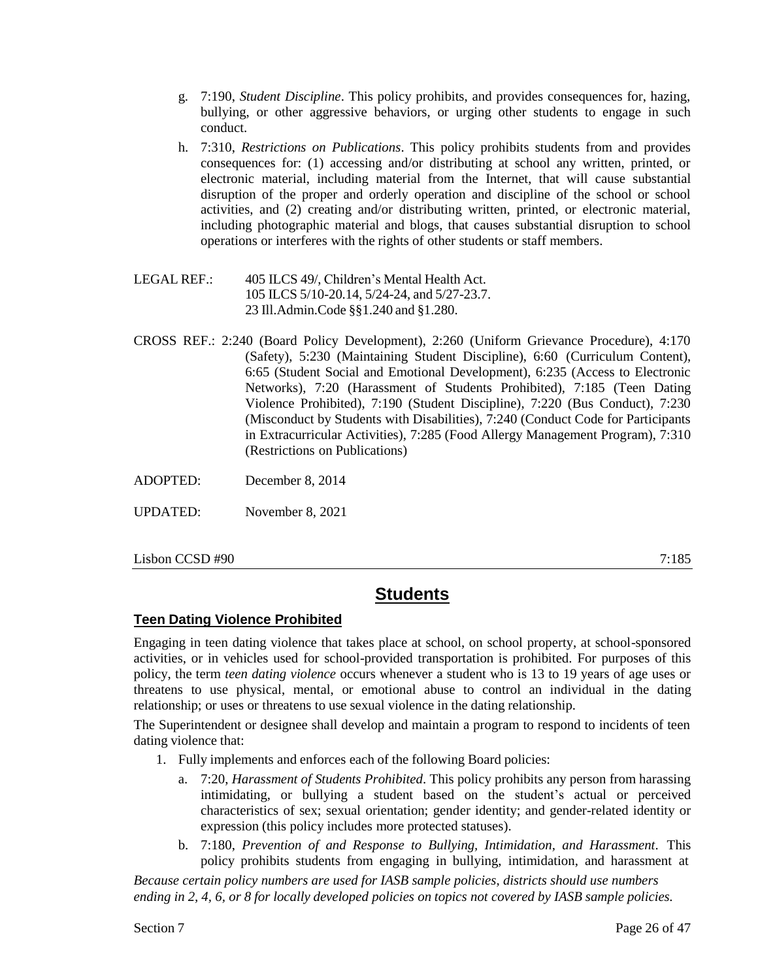- g. 7:190, *Student Discipline*. This policy prohibits, and provides consequences for, hazing, bullying, or other aggressive behaviors, or urging other students to engage in such conduct.
- h. 7:310, *Restrictions on Publications*. This policy prohibits students from and provides consequences for: (1) accessing and/or distributing at school any written, printed, or electronic material, including material from the Internet, that will cause substantial disruption of the proper and orderly operation and discipline of the school or school activities, and (2) creating and/or distributing written, printed, or electronic material, including photographic material and blogs, that causes substantial disruption to school operations or interferes with the rights of other students or staff members.
- LEGAL REF.: 405 ILCS 49/, Children's Mental Health Act. 105 ILCS 5/10-20.14, 5/24-24, and 5/27-23.7. 23 Ill.Admin.Code §§1.240 and §1.280.
- CROSS REF.: 2:240 (Board Policy Development), 2:260 (Uniform Grievance Procedure), 4:170 (Safety), 5:230 (Maintaining Student Discipline), 6:60 (Curriculum Content), 6:65 (Student Social and Emotional Development), 6:235 (Access to Electronic Networks), 7:20 (Harassment of Students Prohibited), 7:185 (Teen Dating Violence Prohibited), 7:190 (Student Discipline), 7:220 (Bus Conduct), 7:230 (Misconduct by Students with Disabilities), 7:240 (Conduct Code for Participants in Extracurricular Activities), 7:285 (Food Allergy Management Program), 7:310 (Restrictions on Publications)

ADOPTED: December 8, 2014

UPDATED: November 8, 2021

Lisbon CCSD #90 7:185

# **Students**

## **Teen Dating Violence Prohibited**

Engaging in teen dating violence that takes place at school, on school property, at school-sponsored activities, or in vehicles used for school-provided transportation is prohibited. For purposes of this policy, the term *teen dating violence* occurs whenever a student who is 13 to 19 years of age uses or threatens to use physical, mental, or emotional abuse to control an individual in the dating relationship; or uses or threatens to use sexual violence in the dating relationship.

The Superintendent or designee shall develop and maintain a program to respond to incidents of teen dating violence that:

- 1. Fully implements and enforces each of the following Board policies:
	- a. 7:20, *Harassment of Students Prohibited*. This policy prohibits any person from harassing intimidating, or bullying a student based on the student's actual or perceived characteristics of sex; sexual orientation; gender identity; and gender-related identity or expression (this policy includes more protected statuses).
	- b. 7:180, *Prevention of and Response to Bullying, Intimidation, and Harassment*. This policy prohibits students from engaging in bullying, intimidation, and harassment at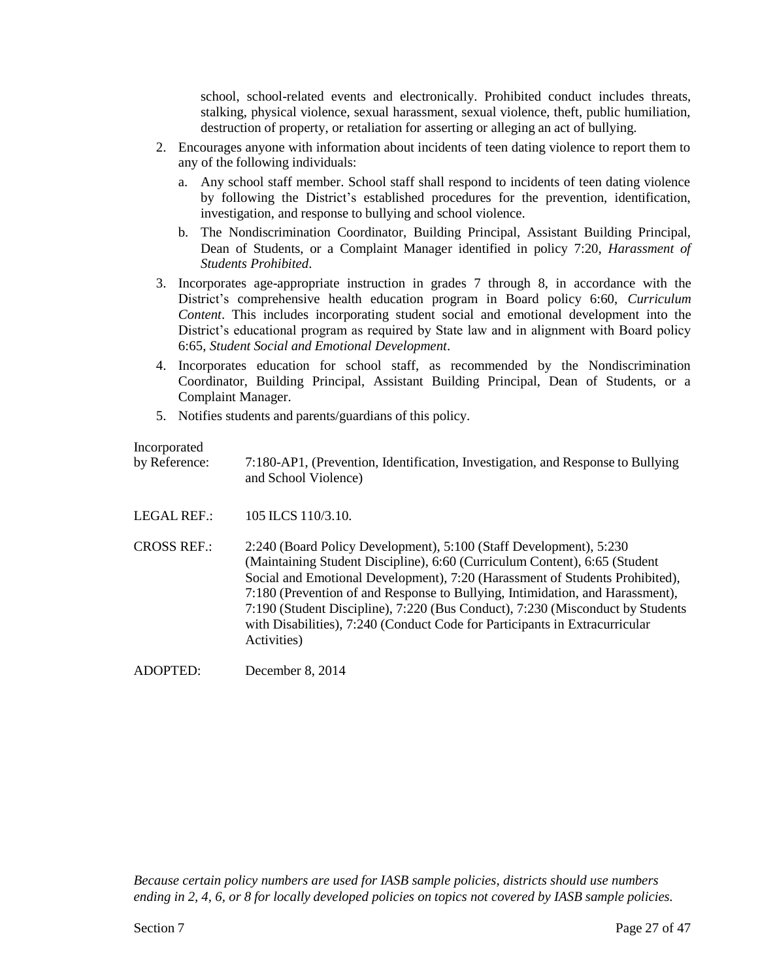school, school-related events and electronically. Prohibited conduct includes threats, stalking, physical violence, sexual harassment, sexual violence, theft, public humiliation, destruction of property, or retaliation for asserting or alleging an act of bullying.

- 2. Encourages anyone with information about incidents of teen dating violence to report them to any of the following individuals:
	- a. Any school staff member. School staff shall respond to incidents of teen dating violence by following the District's established procedures for the prevention, identification, investigation, and response to bullying and school violence.
	- b. The Nondiscrimination Coordinator, Building Principal, Assistant Building Principal, Dean of Students, or a Complaint Manager identified in policy 7:20, *Harassment of Students Prohibited*.
- 3. Incorporates age-appropriate instruction in grades 7 through 8, in accordance with the District's comprehensive health education program in Board policy 6:60, *Curriculum Content*. This includes incorporating student social and emotional development into the District's educational program as required by State law and in alignment with Board policy 6:65, *Student Social and Emotional Development*.
- 4. Incorporates education for school staff, as recommended by the Nondiscrimination Coordinator, Building Principal, Assistant Building Principal, Dean of Students, or a Complaint Manager.
- 5. Notifies students and parents/guardians of this policy.

### Incorporated

by Reference: 7:180-AP1, (Prevention, Identification, Investigation, and Response to Bullying and School Violence)

LEGAL REF.: 105 ILCS 110/3.10.

CROSS REF.: 2:240 (Board Policy Development), 5:100 (Staff Development), 5:230 (Maintaining Student Discipline), 6:60 (Curriculum Content), 6:65 (Student Social and Emotional Development), 7:20 (Harassment of Students Prohibited), 7:180 (Prevention of and Response to Bullying, Intimidation, and Harassment), 7:190 (Student Discipline), 7:220 (Bus Conduct), 7:230 (Misconduct by Students with Disabilities), 7:240 (Conduct Code for Participants in Extracurricular Activities)

ADOPTED: December 8, 2014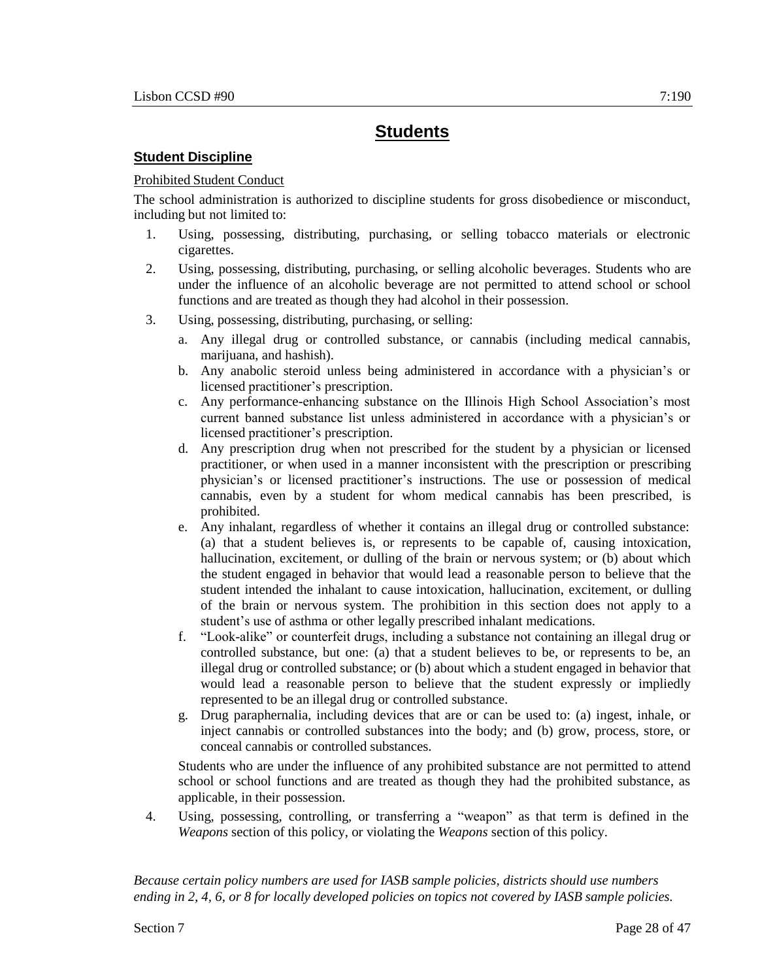## **Student Discipline**

### Prohibited Student Conduct

The school administration is authorized to discipline students for gross disobedience or misconduct, including but not limited to:

- 1. Using, possessing, distributing, purchasing, or selling tobacco materials or electronic cigarettes.
- 2. Using, possessing, distributing, purchasing, or selling alcoholic beverages. Students who are under the influence of an alcoholic beverage are not permitted to attend school or school functions and are treated as though they had alcohol in their possession.
- 3. Using, possessing, distributing, purchasing, or selling:
	- a. Any illegal drug or controlled substance, or cannabis (including medical cannabis, marijuana, and hashish).
	- b. Any anabolic steroid unless being administered in accordance with a physician's or licensed practitioner's prescription.
	- c. Any performance-enhancing substance on the Illinois High School Association's most current banned substance list unless administered in accordance with a physician's or licensed practitioner's prescription.
	- d. Any prescription drug when not prescribed for the student by a physician or licensed practitioner, or when used in a manner inconsistent with the prescription or prescribing physician's or licensed practitioner's instructions. The use or possession of medical cannabis, even by a student for whom medical cannabis has been prescribed, is prohibited.
	- e. Any inhalant, regardless of whether it contains an illegal drug or controlled substance: (a) that a student believes is, or represents to be capable of, causing intoxication, hallucination, excitement, or dulling of the brain or nervous system; or (b) about which the student engaged in behavior that would lead a reasonable person to believe that the student intended the inhalant to cause intoxication, hallucination, excitement, or dulling of the brain or nervous system. The prohibition in this section does not apply to a student's use of asthma or other legally prescribed inhalant medications.
	- f. "Look-alike" or counterfeit drugs, including a substance not containing an illegal drug or controlled substance, but one: (a) that a student believes to be, or represents to be, an illegal drug or controlled substance; or (b) about which a student engaged in behavior that would lead a reasonable person to believe that the student expressly or impliedly represented to be an illegal drug or controlled substance.
	- g. Drug paraphernalia, including devices that are or can be used to: (a) ingest, inhale, or inject cannabis or controlled substances into the body; and (b) grow, process, store, or conceal cannabis or controlled substances.

Students who are under the influence of any prohibited substance are not permitted to attend school or school functions and are treated as though they had the prohibited substance, as applicable, in their possession.

4. Using, possessing, controlling, or transferring a "weapon" as that term is defined in the *Weapons* section of this policy, or violating the *Weapons* section of this policy.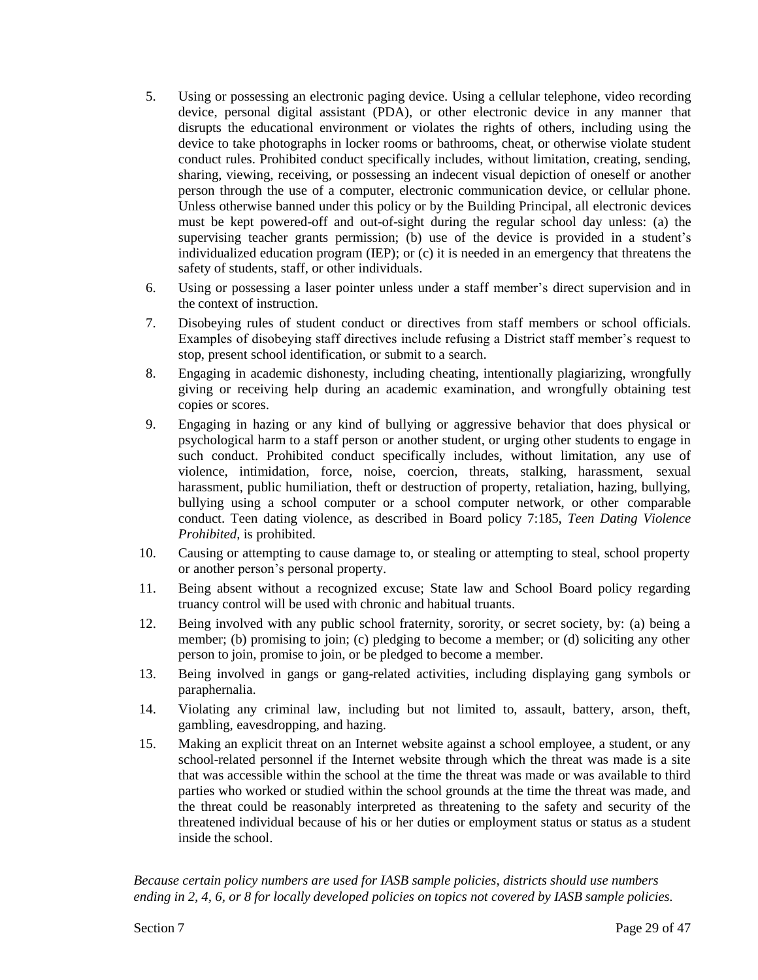- 5. Using or possessing an electronic paging device. Using a cellular telephone, video recording device, personal digital assistant (PDA), or other electronic device in any manner that disrupts the educational environment or violates the rights of others, including using the device to take photographs in locker rooms or bathrooms, cheat, or otherwise violate student conduct rules. Prohibited conduct specifically includes, without limitation, creating, sending, sharing, viewing, receiving, or possessing an indecent visual depiction of oneself or another person through the use of a computer, electronic communication device, or cellular phone. Unless otherwise banned under this policy or by the Building Principal, all electronic devices must be kept powered-off and out-of-sight during the regular school day unless: (a) the supervising teacher grants permission; (b) use of the device is provided in a student's individualized education program (IEP); or (c) it is needed in an emergency that threatens the safety of students, staff, or other individuals.
- 6. Using or possessing a laser pointer unless under a staff member's direct supervision and in the context of instruction.
- 7. Disobeying rules of student conduct or directives from staff members or school officials. Examples of disobeying staff directives include refusing a District staff member's request to stop, present school identification, or submit to a search.
- 8. Engaging in academic dishonesty, including cheating, intentionally plagiarizing, wrongfully giving or receiving help during an academic examination, and wrongfully obtaining test copies or scores.
- 9. Engaging in hazing or any kind of bullying or aggressive behavior that does physical or psychological harm to a staff person or another student, or urging other students to engage in such conduct. Prohibited conduct specifically includes, without limitation, any use of violence, intimidation, force, noise, coercion, threats, stalking, harassment, sexual harassment, public humiliation, theft or destruction of property, retaliation, hazing, bullying, bullying using a school computer or a school computer network, or other comparable conduct. Teen dating violence, as described in Board policy 7:185, *Teen Dating Violence Prohibited*, is prohibited.
- 10. Causing or attempting to cause damage to, or stealing or attempting to steal, school property or another person's personal property.
- 11. Being absent without a recognized excuse; State law and School Board policy regarding truancy control will be used with chronic and habitual truants.
- 12. Being involved with any public school fraternity, sorority, or secret society, by: (a) being a member; (b) promising to join; (c) pledging to become a member; or (d) soliciting any other person to join, promise to join, or be pledged to become a member.
- 13. Being involved in gangs or gang-related activities, including displaying gang symbols or paraphernalia.
- 14. Violating any criminal law, including but not limited to, assault, battery, arson, theft, gambling, eavesdropping, and hazing.
- 15. Making an explicit threat on an Internet website against a school employee, a student, or any school-related personnel if the Internet website through which the threat was made is a site that was accessible within the school at the time the threat was made or was available to third parties who worked or studied within the school grounds at the time the threat was made, and the threat could be reasonably interpreted as threatening to the safety and security of the threatened individual because of his or her duties or employment status or status as a student inside the school.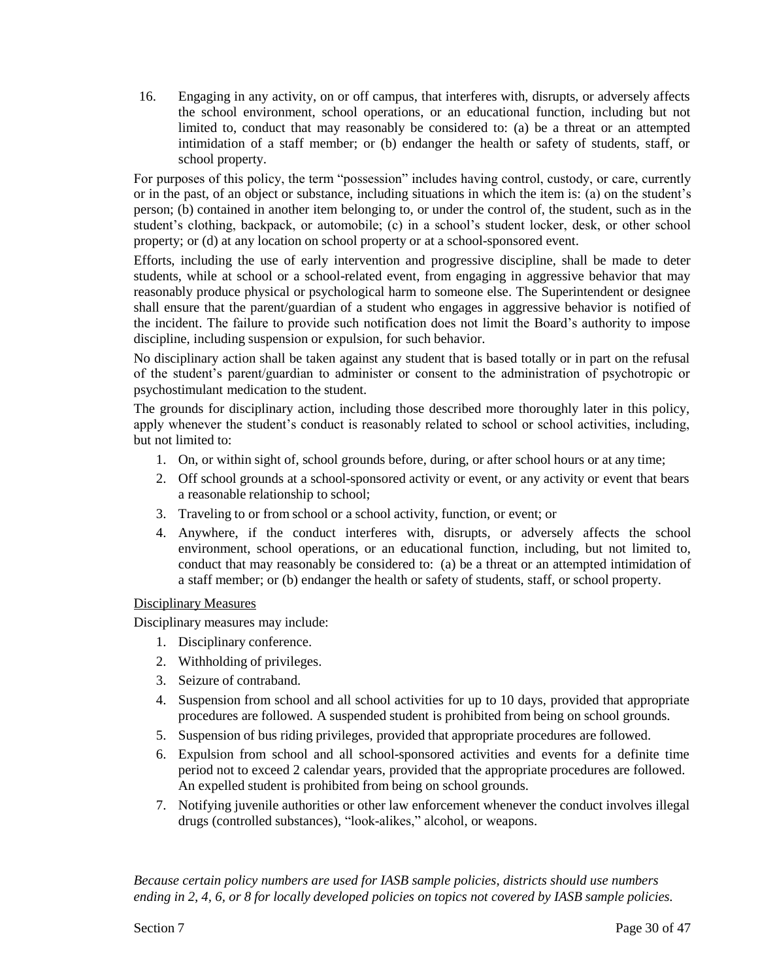16. Engaging in any activity, on or off campus, that interferes with, disrupts, or adversely affects the school environment, school operations, or an educational function, including but not limited to, conduct that may reasonably be considered to: (a) be a threat or an attempted intimidation of a staff member; or (b) endanger the health or safety of students, staff, or school property.

For purposes of this policy, the term "possession" includes having control, custody, or care, currently or in the past, of an object or substance, including situations in which the item is: (a) on the student's person; (b) contained in another item belonging to, or under the control of, the student, such as in the student's clothing, backpack, or automobile; (c) in a school's student locker, desk, or other school property; or (d) at any location on school property or at a school-sponsored event.

Efforts, including the use of early intervention and progressive discipline, shall be made to deter students, while at school or a school-related event, from engaging in aggressive behavior that may reasonably produce physical or psychological harm to someone else. The Superintendent or designee shall ensure that the parent/guardian of a student who engages in aggressive behavior is notified of the incident. The failure to provide such notification does not limit the Board's authority to impose discipline, including suspension or expulsion, for such behavior.

No disciplinary action shall be taken against any student that is based totally or in part on the refusal of the student's parent/guardian to administer or consent to the administration of psychotropic or psychostimulant medication to the student.

The grounds for disciplinary action, including those described more thoroughly later in this policy, apply whenever the student's conduct is reasonably related to school or school activities, including, but not limited to:

- 1. On, or within sight of, school grounds before, during, or after school hours or at any time;
- 2. Off school grounds at a school-sponsored activity or event, or any activity or event that bears a reasonable relationship to school;
- 3. Traveling to or from school or a school activity, function, or event; or
- 4. Anywhere, if the conduct interferes with, disrupts, or adversely affects the school environment, school operations, or an educational function, including, but not limited to, conduct that may reasonably be considered to: (a) be a threat or an attempted intimidation of a staff member; or (b) endanger the health or safety of students, staff, or school property.

### Disciplinary Measures

Disciplinary measures may include:

- 1. Disciplinary conference.
- 2. Withholding of privileges.
- 3. Seizure of contraband.
- 4. Suspension from school and all school activities for up to 10 days, provided that appropriate procedures are followed. A suspended student is prohibited from being on school grounds.
- 5. Suspension of bus riding privileges, provided that appropriate procedures are followed.
- 6. Expulsion from school and all school-sponsored activities and events for a definite time period not to exceed 2 calendar years, provided that the appropriate procedures are followed. An expelled student is prohibited from being on school grounds.
- 7. Notifying juvenile authorities or other law enforcement whenever the conduct involves illegal drugs (controlled substances), "look-alikes," alcohol, or weapons.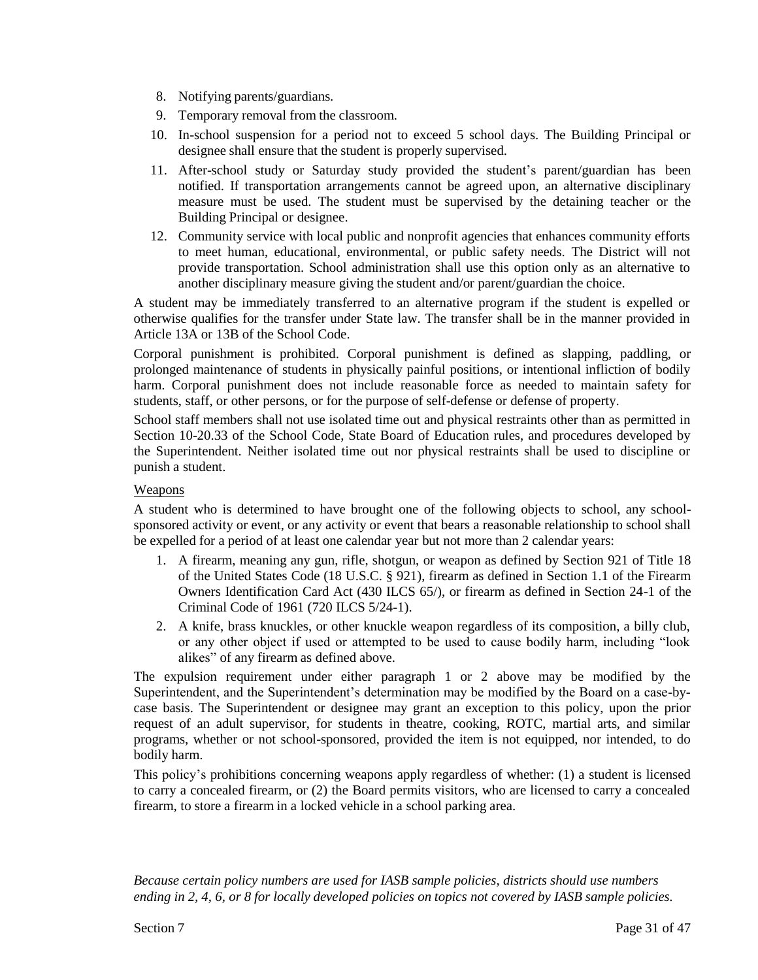- 8. Notifying parents/guardians.
- 9. Temporary removal from the classroom.
- 10. In-school suspension for a period not to exceed 5 school days. The Building Principal or designee shall ensure that the student is properly supervised.
- 11. After-school study or Saturday study provided the student's parent/guardian has been notified. If transportation arrangements cannot be agreed upon, an alternative disciplinary measure must be used. The student must be supervised by the detaining teacher or the Building Principal or designee.
- 12. Community service with local public and nonprofit agencies that enhances community efforts to meet human, educational, environmental, or public safety needs. The District will not provide transportation. School administration shall use this option only as an alternative to another disciplinary measure giving the student and/or parent/guardian the choice.

A student may be immediately transferred to an alternative program if the student is expelled or otherwise qualifies for the transfer under State law. The transfer shall be in the manner provided in Article 13A or 13B of the School Code.

Corporal punishment is prohibited. Corporal punishment is defined as slapping, paddling, or prolonged maintenance of students in physically painful positions, or intentional infliction of bodily harm. Corporal punishment does not include reasonable force as needed to maintain safety for students, staff, or other persons, or for the purpose of self-defense or defense of property.

School staff members shall not use isolated time out and physical restraints other than as permitted in Section 10-20.33 of the School Code, State Board of Education rules, and procedures developed by the Superintendent. Neither isolated time out nor physical restraints shall be used to discipline or punish a student.

## **Weapons**

A student who is determined to have brought one of the following objects to school, any schoolsponsored activity or event, or any activity or event that bears a reasonable relationship to school shall be expelled for a period of at least one calendar year but not more than 2 calendar years:

- 1. A firearm, meaning any gun, rifle, shotgun, or weapon as defined by Section 921 of Title 18 of the United States Code (18 U.S.C. § 921), firearm as defined in Section 1.1 of the Firearm Owners Identification Card Act (430 ILCS 65/), or firearm as defined in Section 24-1 of the Criminal Code of 1961 (720 ILCS 5/24-1).
- 2. A knife, brass knuckles, or other knuckle weapon regardless of its composition, a billy club, or any other object if used or attempted to be used to cause bodily harm, including "look alikes" of any firearm as defined above.

The expulsion requirement under either paragraph 1 or 2 above may be modified by the Superintendent, and the Superintendent's determination may be modified by the Board on a case-bycase basis. The Superintendent or designee may grant an exception to this policy, upon the prior request of an adult supervisor, for students in theatre, cooking, ROTC, martial arts, and similar programs, whether or not school-sponsored, provided the item is not equipped, nor intended, to do bodily harm.

This policy's prohibitions concerning weapons apply regardless of whether: (1) a student is licensed to carry a concealed firearm, or (2) the Board permits visitors, who are licensed to carry a concealed firearm, to store a firearm in a locked vehicle in a school parking area.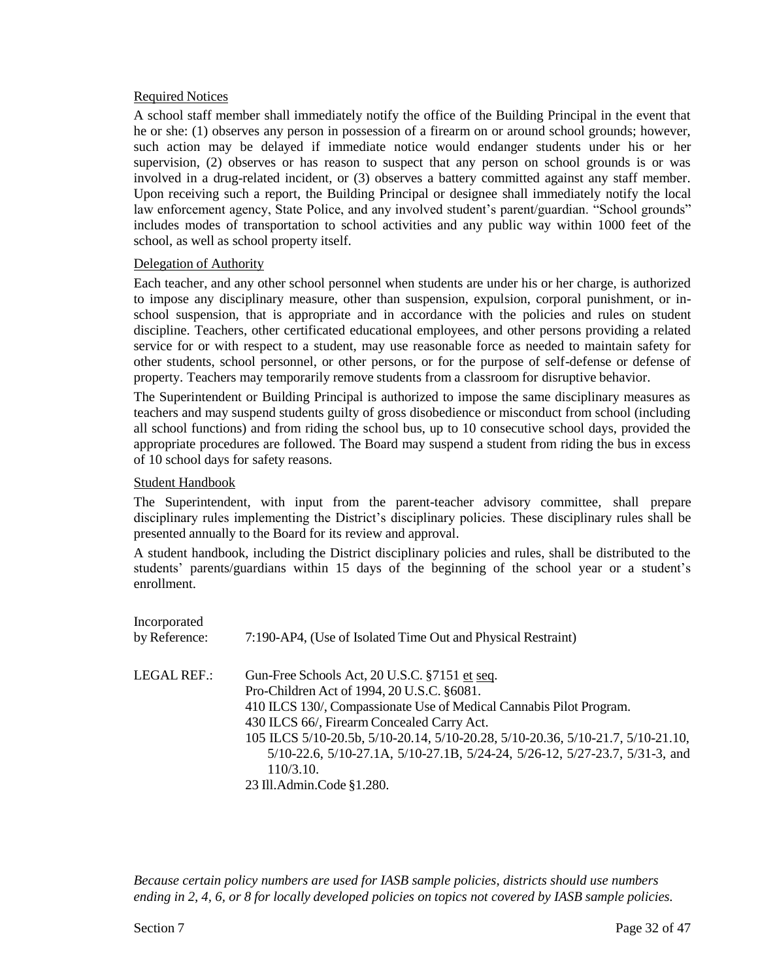#### Required Notices

A school staff member shall immediately notify the office of the Building Principal in the event that he or she: (1) observes any person in possession of a firearm on or around school grounds; however, such action may be delayed if immediate notice would endanger students under his or her supervision, (2) observes or has reason to suspect that any person on school grounds is or was involved in a drug-related incident, or (3) observes a battery committed against any staff member. Upon receiving such a report, the Building Principal or designee shall immediately notify the local law enforcement agency, State Police, and any involved student's parent/guardian. "School grounds" includes modes of transportation to school activities and any public way within 1000 feet of the school, as well as school property itself.

#### Delegation of Authority

Each teacher, and any other school personnel when students are under his or her charge, is authorized to impose any disciplinary measure, other than suspension, expulsion, corporal punishment, or inschool suspension, that is appropriate and in accordance with the policies and rules on student discipline. Teachers, other certificated educational employees, and other persons providing a related service for or with respect to a student, may use reasonable force as needed to maintain safety for other students, school personnel, or other persons, or for the purpose of self-defense or defense of property. Teachers may temporarily remove students from a classroom for disruptive behavior.

The Superintendent or Building Principal is authorized to impose the same disciplinary measures as teachers and may suspend students guilty of gross disobedience or misconduct from school (including all school functions) and from riding the school bus, up to 10 consecutive school days, provided the appropriate procedures are followed. The Board may suspend a student from riding the bus in excess of 10 school days for safety reasons.

#### Student Handbook

The Superintendent, with input from the parent-teacher advisory committee, shall prepare disciplinary rules implementing the District's disciplinary policies. These disciplinary rules shall be presented annually to the Board for its review and approval.

A student handbook, including the District disciplinary policies and rules, shall be distributed to the students' parents/guardians within 15 days of the beginning of the school year or a student's enrollment.

| Incorporated<br>by Reference: | 7:190-AP4, (Use of Isolated Time Out and Physical Restraint)                                                                                                                                                     |
|-------------------------------|------------------------------------------------------------------------------------------------------------------------------------------------------------------------------------------------------------------|
| LEGAL REF.:                   | Gun-Free Schools Act, 20 U.S.C. §7151 et seq.<br>Pro-Children Act of 1994, 20 U.S.C. §6081.<br>410 ILCS 130/, Compassionate Use of Medical Cannabis Pilot Program.<br>430 ILCS 66/, Firearm Concealed Carry Act. |
|                               | 105 ILCS 5/10-20.5b, 5/10-20.14, 5/10-20.28, 5/10-20.36, 5/10-21.7, 5/10-21.10,<br>5/10-22.6, 5/10-27.1A, 5/10-27.1B, 5/24-24, 5/26-12, 5/27-23.7, 5/31-3, and<br>110/3.10.<br>23 Ill.Admin.Code §1.280.         |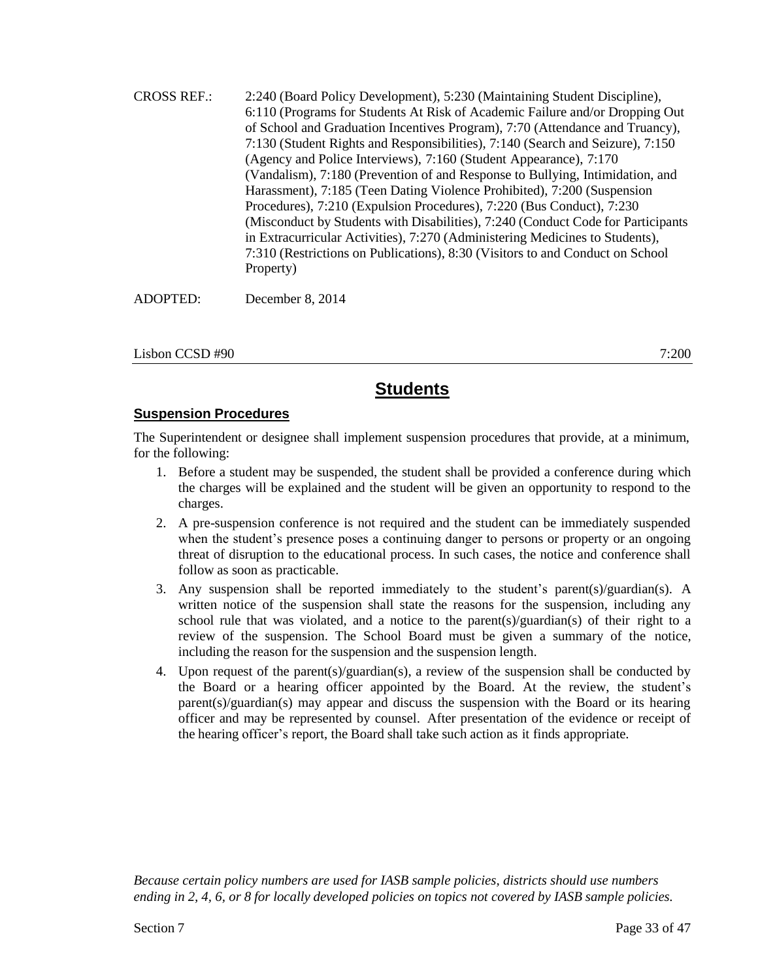CROSS REF.: 2:240 (Board Policy Development), 5:230 (Maintaining Student Discipline), 6:110 (Programs for Students At Risk of Academic Failure and/or Dropping Out of School and Graduation Incentives Program), 7:70 (Attendance and Truancy), 7:130 (Student Rights and Responsibilities), 7:140 (Search and Seizure), 7:150 (Agency and Police Interviews), 7:160 (Student Appearance), 7:170 (Vandalism), 7:180 (Prevention of and Response to Bullying, Intimidation, and Harassment), 7:185 (Teen Dating Violence Prohibited), 7:200 (Suspension Procedures), 7:210 (Expulsion Procedures), 7:220 (Bus Conduct), 7:230 (Misconduct by Students with Disabilities), 7:240 (Conduct Code for Participants in Extracurricular Activities), 7:270 (Administering Medicines to Students), 7:310 (Restrictions on Publications), 8:30 (Visitors to and Conduct on School Property)

ADOPTED: December 8, 2014

Lisbon CCSD #90 7:200

# **Students**

### **Suspension Procedures**

The Superintendent or designee shall implement suspension procedures that provide, at a minimum, for the following:

- 1. Before a student may be suspended, the student shall be provided a conference during which the charges will be explained and the student will be given an opportunity to respond to the charges.
- 2. A pre-suspension conference is not required and the student can be immediately suspended when the student's presence poses a continuing danger to persons or property or an ongoing threat of disruption to the educational process. In such cases, the notice and conference shall follow as soon as practicable.
- 3. Any suspension shall be reported immediately to the student's parent(s)/guardian(s). A written notice of the suspension shall state the reasons for the suspension, including any school rule that was violated, and a notice to the parent(s)/guardian(s) of their right to a review of the suspension. The School Board must be given a summary of the notice, including the reason for the suspension and the suspension length.
- 4. Upon request of the parent(s)/guardian(s), a review of the suspension shall be conducted by the Board or a hearing officer appointed by the Board. At the review, the student's parent(s)/guardian(s) may appear and discuss the suspension with the Board or its hearing officer and may be represented by counsel. After presentation of the evidence or receipt of the hearing officer's report, the Board shall take such action as it finds appropriate.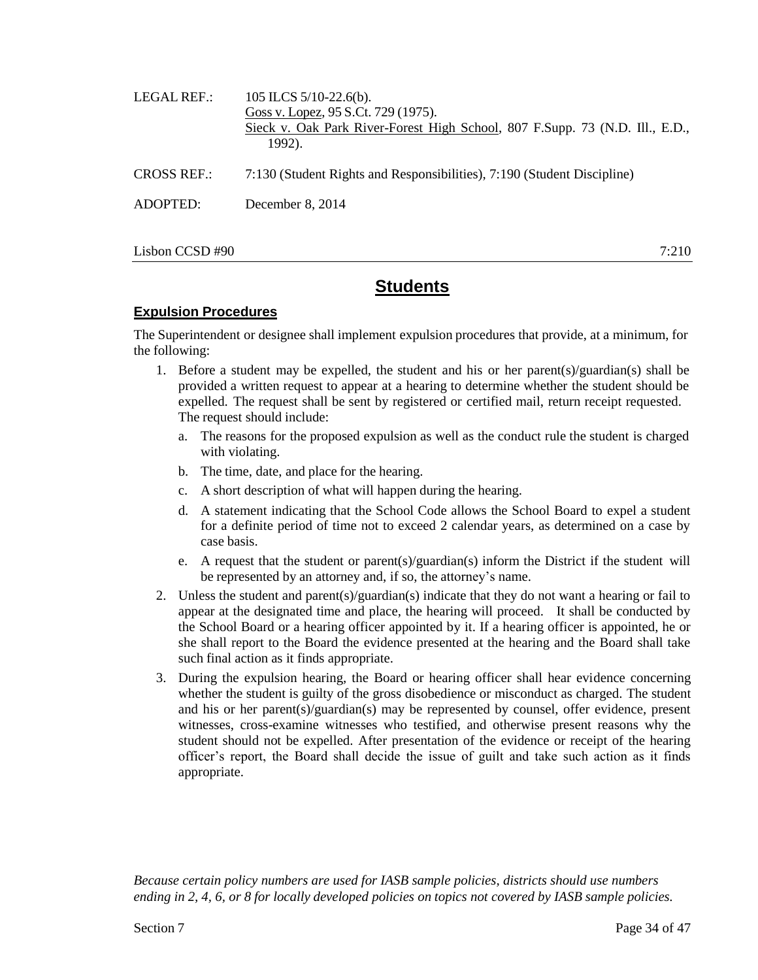| LEGAL REF.:        | 105 ILCS $5/10-22.6(b)$ .<br>Goss v. Lopez, 95 S.Ct. 729 (1975).<br>Sieck v. Oak Park River-Forest High School, 807 F.Supp. 73 (N.D. Ill., E.D.,<br>1992). |
|--------------------|------------------------------------------------------------------------------------------------------------------------------------------------------------|
| <b>CROSS REF.:</b> | 7:130 (Student Rights and Responsibilities), 7:190 (Student Discipline)                                                                                    |
| ADOPTED:           | December 8, 2014                                                                                                                                           |
|                    |                                                                                                                                                            |

Lisbon CCSD #90 7:210

# **Students**

### **Expulsion Procedures**

The Superintendent or designee shall implement expulsion procedures that provide, at a minimum, for the following:

- 1. Before a student may be expelled, the student and his or her parent(s)/guardian(s) shall be provided a written request to appear at a hearing to determine whether the student should be expelled. The request shall be sent by registered or certified mail, return receipt requested. The request should include:
	- a. The reasons for the proposed expulsion as well as the conduct rule the student is charged with violating.
	- b. The time, date, and place for the hearing.
	- c. A short description of what will happen during the hearing.
	- d. A statement indicating that the School Code allows the School Board to expel a student for a definite period of time not to exceed 2 calendar years, as determined on a case by case basis.
	- e. A request that the student or parent(s)/guardian(s) inform the District if the student will be represented by an attorney and, if so, the attorney's name.
- 2. Unless the student and parent(s)/guardian(s) indicate that they do not want a hearing or fail to appear at the designated time and place, the hearing will proceed. It shall be conducted by the School Board or a hearing officer appointed by it. If a hearing officer is appointed, he or she shall report to the Board the evidence presented at the hearing and the Board shall take such final action as it finds appropriate.
- 3. During the expulsion hearing, the Board or hearing officer shall hear evidence concerning whether the student is guilty of the gross disobedience or misconduct as charged. The student and his or her parent(s)/guardian(s) may be represented by counsel, offer evidence, present witnesses, cross-examine witnesses who testified, and otherwise present reasons why the student should not be expelled. After presentation of the evidence or receipt of the hearing officer's report, the Board shall decide the issue of guilt and take such action as it finds appropriate.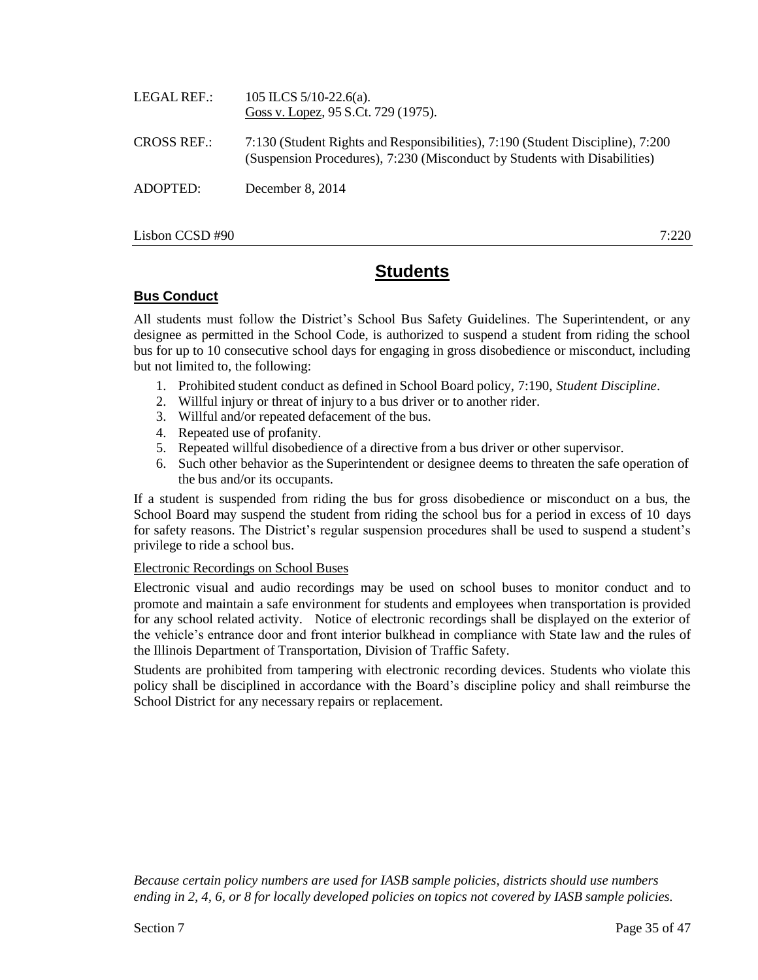| LEGAL REF.:        | 105 ILCS $5/10-22.6(a)$ .<br>Goss v. Lopez, 95 S.Ct. 729 (1975).                                                                                            |
|--------------------|-------------------------------------------------------------------------------------------------------------------------------------------------------------|
| <b>CROSS REF.:</b> | 7:130 (Student Rights and Responsibilities), 7:190 (Student Discipline), 7:200<br>(Suspension Procedures), 7:230 (Misconduct by Students with Disabilities) |
| ADOPTED:           | December 8, 2014                                                                                                                                            |
|                    |                                                                                                                                                             |

Lisbon CCSD #90 7:220

# **Students**

## **Bus Conduct**

All students must follow the District's School Bus Safety Guidelines. The Superintendent, or any designee as permitted in the School Code, is authorized to suspend a student from riding the school bus for up to 10 consecutive school days for engaging in gross disobedience or misconduct, including but not limited to, the following:

- 1. Prohibited student conduct as defined in School Board policy, 7:190, *Student Discipline*.
- 2. Willful injury or threat of injury to a bus driver or to another rider.
- 3. Willful and/or repeated defacement of the bus.
- 4. Repeated use of profanity.
- 5. Repeated willful disobedience of a directive from a bus driver or other supervisor.
- 6. Such other behavior as the Superintendent or designee deems to threaten the safe operation of the bus and/or its occupants.

If a student is suspended from riding the bus for gross disobedience or misconduct on a bus, the School Board may suspend the student from riding the school bus for a period in excess of 10 days for safety reasons. The District's regular suspension procedures shall be used to suspend a student's privilege to ride a school bus.

### Electronic Recordings on School Buses

Electronic visual and audio recordings may be used on school buses to monitor conduct and to promote and maintain a safe environment for students and employees when transportation is provided for any school related activity. Notice of electronic recordings shall be displayed on the exterior of the vehicle's entrance door and front interior bulkhead in compliance with State law and the rules of the Illinois Department of Transportation, Division of Traffic Safety.

Students are prohibited from tampering with electronic recording devices. Students who violate this policy shall be disciplined in accordance with the Board's discipline policy and shall reimburse the School District for any necessary repairs or replacement.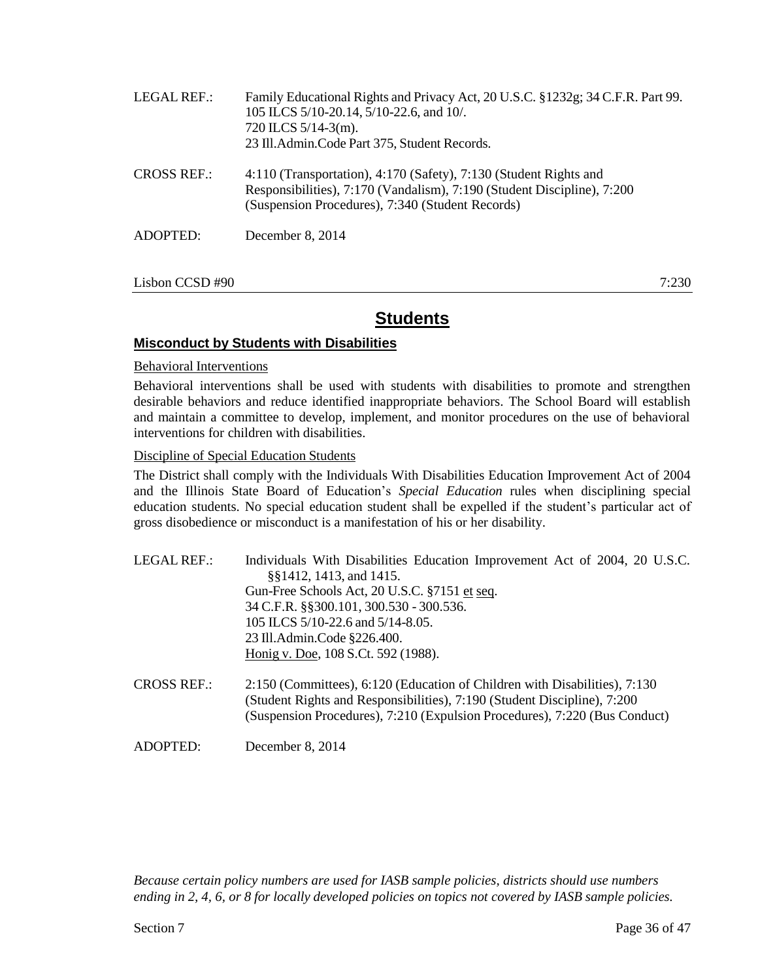| LEGAL REF.:        | Family Educational Rights and Privacy Act, 20 U.S.C. §1232g; 34 C.F.R. Part 99.<br>105 ILCS 5/10-20.14, 5/10-22.6, and 10/.<br>$720$ ILCS $5/14-3$ (m).<br>23 Ill.Admin.Code Part 375, Student Records. |
|--------------------|---------------------------------------------------------------------------------------------------------------------------------------------------------------------------------------------------------|
| <b>CROSS REF.:</b> | 4:110 (Transportation), 4:170 (Safety), 7:130 (Student Rights and<br>Responsibilities), 7:170 (Vandalism), 7:190 (Student Discipline), 7:200<br>(Suspension Procedures), 7:340 (Student Records)        |
| ADOPTED:           | December 8, 2014                                                                                                                                                                                        |
|                    |                                                                                                                                                                                                         |

Lisbon CCSD #90 7:230

### **Misconduct by Students with Disabilities**

#### Behavioral Interventions

Behavioral interventions shall be used with students with disabilities to promote and strengthen desirable behaviors and reduce identified inappropriate behaviors. The School Board will establish and maintain a committee to develop, implement, and monitor procedures on the use of behavioral interventions for children with disabilities.

#### Discipline of Special Education Students

The District shall comply with the Individuals With Disabilities Education Improvement Act of 2004 and the Illinois State Board of Education's *Special Education* rules when disciplining special education students. No special education student shall be expelled if the student's particular act of gross disobedience or misconduct is a manifestation of his or her disability.

| Individuals With Disabilities Education Improvement Act of 2004, 20 U.S.C.<br>§§1412, 1413, and 1415.                                                                                                                                |
|--------------------------------------------------------------------------------------------------------------------------------------------------------------------------------------------------------------------------------------|
| Gun-Free Schools Act, 20 U.S.C. §7151 et seq.                                                                                                                                                                                        |
| 34 C.F.R. §§300.101, 300.530 - 300.536.                                                                                                                                                                                              |
| 105 ILCS 5/10-22.6 and 5/14-8.05.                                                                                                                                                                                                    |
| 23 Ill.Admin.Code §226.400.                                                                                                                                                                                                          |
| Honig v. Doe, 108 S.Ct. 592 (1988).                                                                                                                                                                                                  |
| 2:150 (Committees), 6:120 (Education of Children with Disabilities), 7:130<br>(Student Rights and Responsibilities), 7:190 (Student Discipline), 7:200<br>(Suspension Procedures), 7:210 (Expulsion Procedures), 7:220 (Bus Conduct) |
|                                                                                                                                                                                                                                      |

ADOPTED: December 8, 2014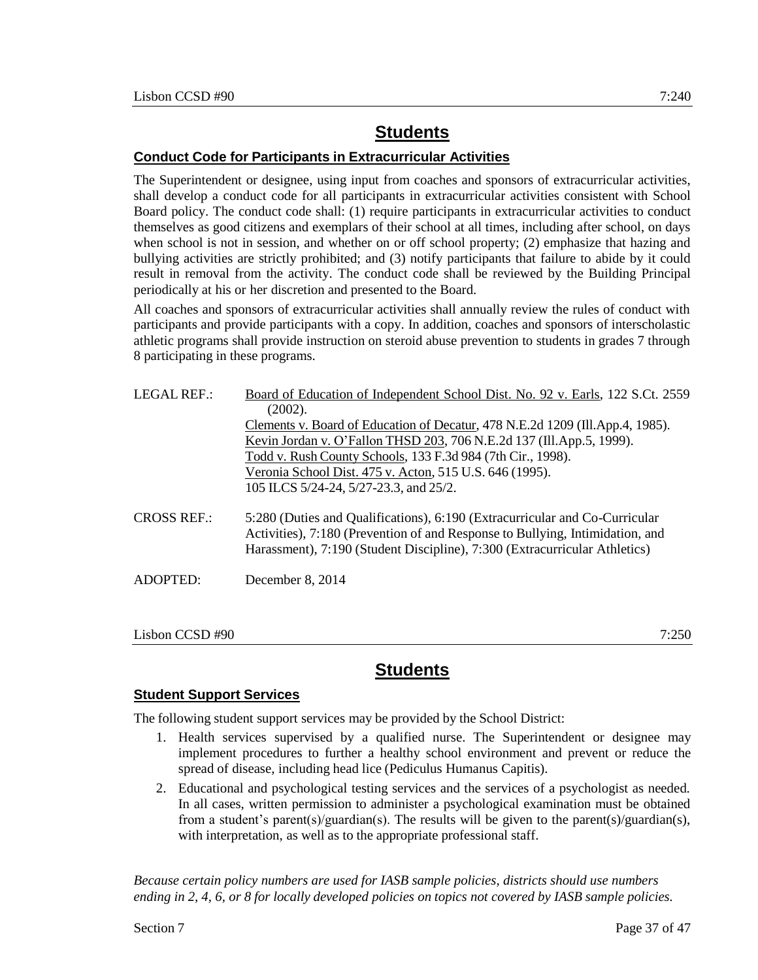## **Conduct Code for Participants in Extracurricular Activities**

The Superintendent or designee, using input from coaches and sponsors of extracurricular activities, shall develop a conduct code for all participants in extracurricular activities consistent with School Board policy. The conduct code shall: (1) require participants in extracurricular activities to conduct themselves as good citizens and exemplars of their school at all times, including after school, on days when school is not in session, and whether on or off school property; (2) emphasize that hazing and bullying activities are strictly prohibited; and (3) notify participants that failure to abide by it could result in removal from the activity. The conduct code shall be reviewed by the Building Principal periodically at his or her discretion and presented to the Board.

All coaches and sponsors of extracurricular activities shall annually review the rules of conduct with participants and provide participants with a copy. In addition, coaches and sponsors of interscholastic athletic programs shall provide instruction on steroid abuse prevention to students in grades 7 through 8 participating in these programs.

| LEGAL REF.:        | Board of Education of Independent School Dist. No. 92 v. Earls, 122 S.Ct. 2559<br>(2002).                                                                                                                                                  |
|--------------------|--------------------------------------------------------------------------------------------------------------------------------------------------------------------------------------------------------------------------------------------|
|                    | Clements v. Board of Education of Decatur, 478 N.E.2d 1209 (Ill.App.4, 1985).                                                                                                                                                              |
|                    | Kevin Jordan v. O'Fallon THSD 203, 706 N.E.2d 137 (Ill.App.5, 1999).                                                                                                                                                                       |
|                    | Todd v. Rush County Schools, 133 F.3d 984 (7th Cir., 1998).                                                                                                                                                                                |
|                    | Veronia School Dist. 475 v. Acton, 515 U.S. 646 (1995).                                                                                                                                                                                    |
|                    | 105 ILCS 5/24-24, 5/27-23.3, and 25/2.                                                                                                                                                                                                     |
| <b>CROSS REF.:</b> | 5:280 (Duties and Qualifications), 6:190 (Extracurricular and Co-Curricular<br>Activities), 7:180 (Prevention of and Response to Bullying, Intimidation, and<br>Harassment), 7:190 (Student Discipline), 7:300 (Extracurricular Athletics) |
| ADOPTED:           | December $8, 2014$                                                                                                                                                                                                                         |
|                    |                                                                                                                                                                                                                                            |

Lisbon CCSD #90 7:250

# **Students**

## **Student Support Services**

The following student support services may be provided by the School District:

- 1. Health services supervised by a qualified nurse. The Superintendent or designee may implement procedures to further a healthy school environment and prevent or reduce the spread of disease, including head lice (Pediculus Humanus Capitis).
- 2. Educational and psychological testing services and the services of a psychologist as needed. In all cases, written permission to administer a psychological examination must be obtained from a student's parent(s)/guardian(s). The results will be given to the parent(s)/guardian(s), with interpretation, as well as to the appropriate professional staff.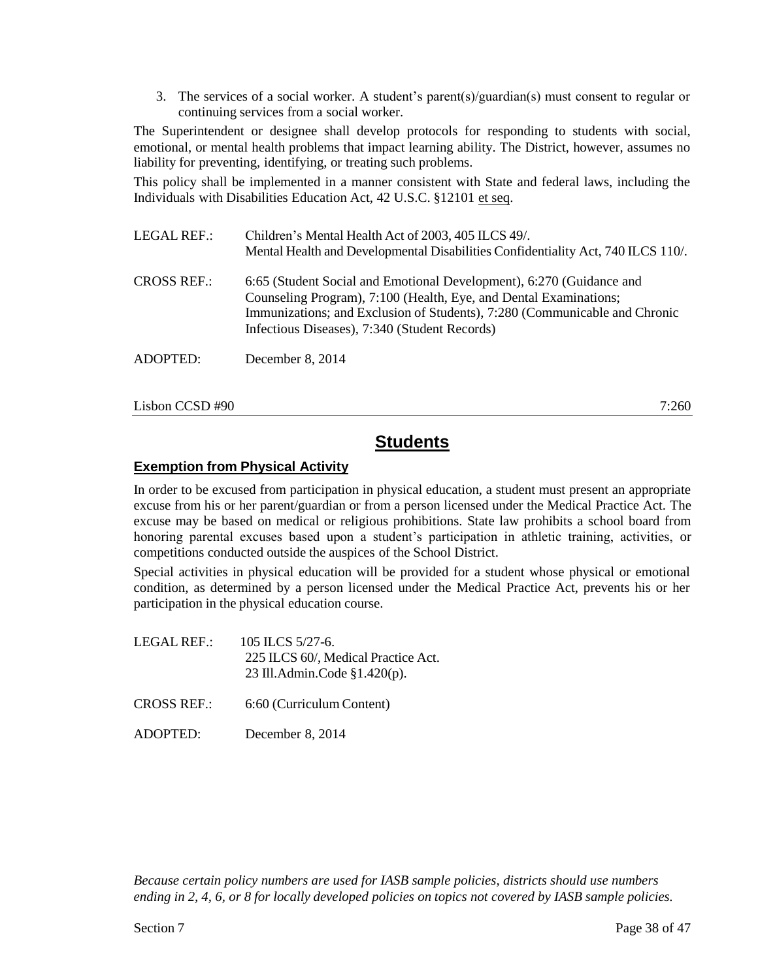3. The services of a social worker. A student's parent(s)/guardian(s) must consent to regular or continuing services from a social worker.

The Superintendent or designee shall develop protocols for responding to students with social, emotional, or mental health problems that impact learning ability. The District, however, assumes no liability for preventing, identifying, or treating such problems.

This policy shall be implemented in a manner consistent with State and federal laws, including the Individuals with Disabilities Education Act, 42 U.S.C. §12101 et seq.

LEGAL REF.: Children's Mental Health Act of 2003, 405 ILCS 49/. Mental Health and Developmental Disabilities Confidentiality Act, 740 ILCS 110/. CROSS REF.: 6:65 (Student Social and Emotional Development), 6:270 (Guidance and Counseling Program), 7:100 (Health, Eye, and Dental Examinations; Immunizations; and Exclusion of Students), 7:280 (Communicable and Chronic Infectious Diseases), 7:340 (Student Records) ADOPTED: December 8, 2014

 $Lisbon CCSD \#90$  7:260

# **Students**

## **Exemption from Physical Activity**

In order to be excused from participation in physical education, a student must present an appropriate excuse from his or her parent/guardian or from a person licensed under the Medical Practice Act. The excuse may be based on medical or religious prohibitions. State law prohibits a school board from honoring parental excuses based upon a student's participation in athletic training, activities, or competitions conducted outside the auspices of the School District.

Special activities in physical education will be provided for a student whose physical or emotional condition, as determined by a person licensed under the Medical Practice Act, prevents his or her participation in the physical education course.

- LEGAL REF.: 105 ILCS 5/27-6. 225 ILCS 60/, Medical Practice Act. 23 Ill.Admin.Code §1.420(p). CROSS REF.: 6:60 (Curriculum Content)
- ADOPTED: December 8, 2014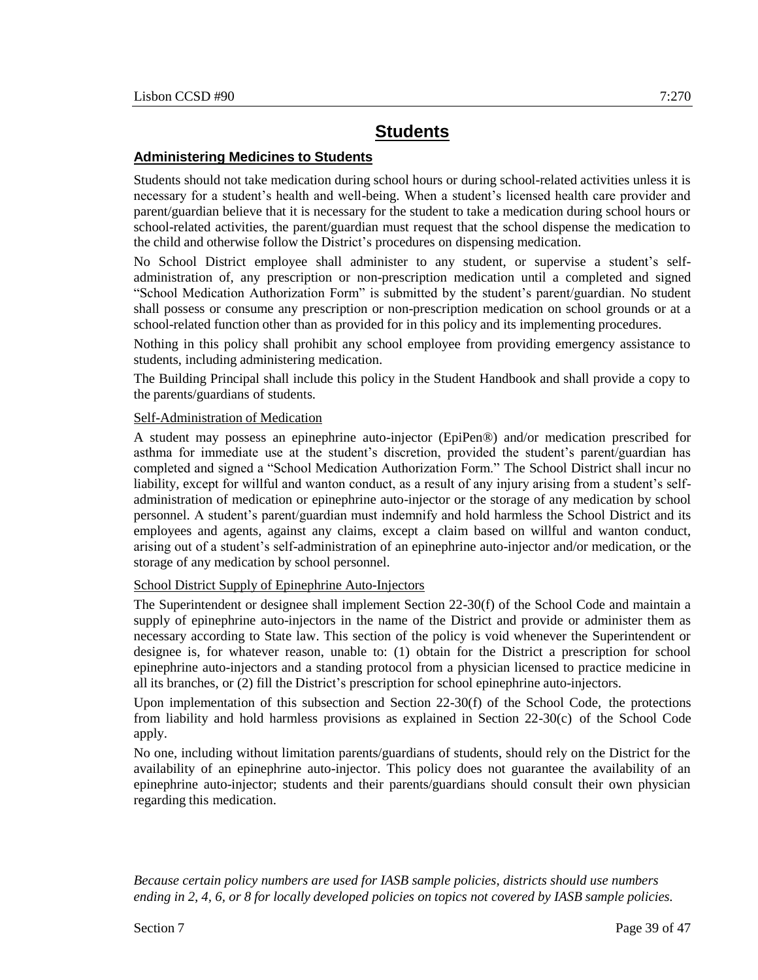## **Administering Medicines to Students**

Students should not take medication during school hours or during school-related activities unless it is necessary for a student's health and well-being. When a student's licensed health care provider and parent/guardian believe that it is necessary for the student to take a medication during school hours or school-related activities, the parent/guardian must request that the school dispense the medication to the child and otherwise follow the District's procedures on dispensing medication.

No School District employee shall administer to any student, or supervise a student's selfadministration of, any prescription or non-prescription medication until a completed and signed "School Medication Authorization Form" is submitted by the student's parent/guardian. No student shall possess or consume any prescription or non-prescription medication on school grounds or at a school-related function other than as provided for in this policy and its implementing procedures.

Nothing in this policy shall prohibit any school employee from providing emergency assistance to students, including administering medication.

The Building Principal shall include this policy in the Student Handbook and shall provide a copy to the parents/guardians of students.

### Self-Administration of Medication

A student may possess an epinephrine auto-injector (EpiPen®) and/or medication prescribed for asthma for immediate use at the student's discretion, provided the student's parent/guardian has completed and signed a "School Medication Authorization Form." The School District shall incur no liability, except for willful and wanton conduct, as a result of any injury arising from a student's selfadministration of medication or epinephrine auto-injector or the storage of any medication by school personnel. A student's parent/guardian must indemnify and hold harmless the School District and its employees and agents, against any claims, except a claim based on willful and wanton conduct, arising out of a student's self-administration of an epinephrine auto-injector and/or medication, or the storage of any medication by school personnel.

### School District Supply of Epinephrine Auto-Injectors

The Superintendent or designee shall implement Section 22-30(f) of the School Code and maintain a supply of epinephrine auto-injectors in the name of the District and provide or administer them as necessary according to State law. This section of the policy is void whenever the Superintendent or designee is, for whatever reason, unable to: (1) obtain for the District a prescription for school epinephrine auto-injectors and a standing protocol from a physician licensed to practice medicine in all its branches, or (2) fill the District's prescription for school epinephrine auto-injectors.

Upon implementation of this subsection and Section 22-30(f) of the School Code, the protections from liability and hold harmless provisions as explained in Section 22-30(c) of the School Code apply.

No one, including without limitation parents/guardians of students, should rely on the District for the availability of an epinephrine auto-injector. This policy does not guarantee the availability of an epinephrine auto-injector; students and their parents/guardians should consult their own physician regarding this medication.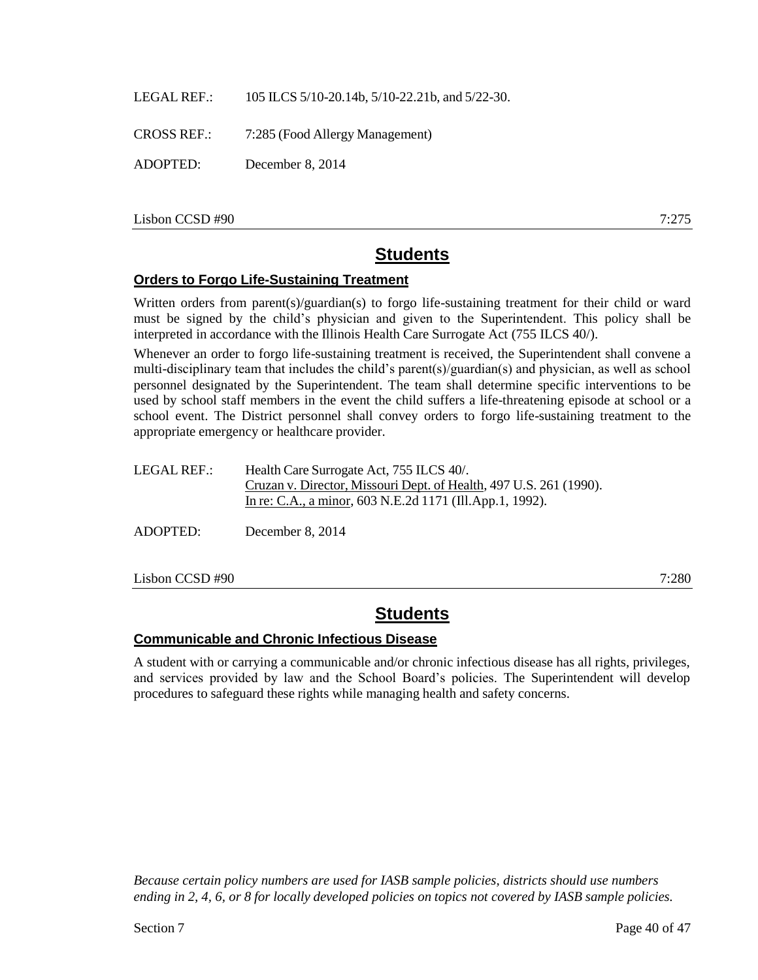LEGAL REF.: 105 ILCS 5/10-20.14b, 5/10-22.21b, and 5/22-30.

CROSS REF.: 7:285 (Food Allergy Management)

ADOPTED: December 8, 2014

Lisbon CCSD #90 7:275

# **Students**

### **Orders to Forgo Life-Sustaining Treatment**

Written orders from parent(s)/guardian(s) to forgo life-sustaining treatment for their child or ward must be signed by the child's physician and given to the Superintendent. This policy shall be interpreted in accordance with the Illinois Health Care Surrogate Act (755 ILCS 40/).

Whenever an order to forgo life-sustaining treatment is received, the Superintendent shall convene a multi-disciplinary team that includes the child's parent(s)/guardian(s) and physician, as well as school personnel designated by the Superintendent. The team shall determine specific interventions to be used by school staff members in the event the child suffers a life-threatening episode at school or a school event. The District personnel shall convey orders to forgo life-sustaining treatment to the appropriate emergency or healthcare provider.

| LEGAL REF.: | Health Care Surrogate Act, 755 ILCS 40/.                           |
|-------------|--------------------------------------------------------------------|
|             | Cruzan v. Director, Missouri Dept. of Health, 497 U.S. 261 (1990). |
|             | In re: C.A., a minor, 603 N.E.2d 1171 (Ill.App.1, 1992).           |
|             |                                                                    |
| ADOPTED:    | December 8, $2014$                                                 |

Lisbon CCSD #90 7:280

# **Students**

### **Communicable and Chronic Infectious Disease**

A student with or carrying a communicable and/or chronic infectious disease has all rights, privileges, and services provided by law and the School Board's policies. The Superintendent will develop procedures to safeguard these rights while managing health and safety concerns.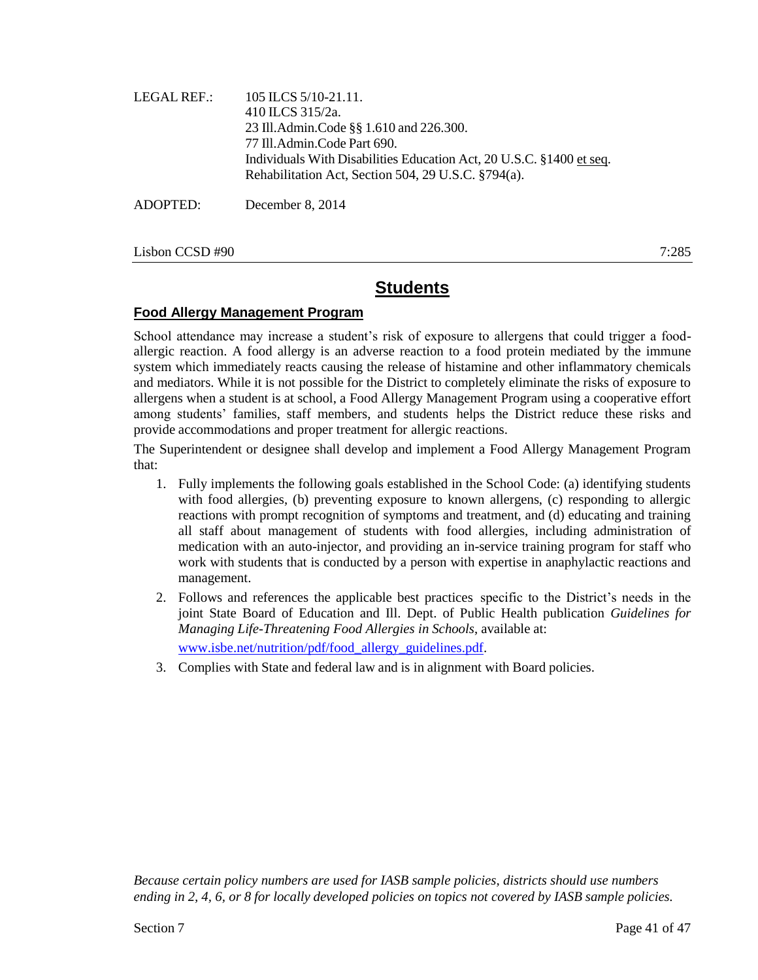| LEGAL REF.: | 105 ILCS $5/10-21.11$ .<br>410 ILCS 315/2a.<br>23 Ill.Admin.Code §§ 1.610 and 226.300.<br>77 Ill.Admin.Code Part 690.<br>Individuals With Disabilities Education Act, 20 U.S.C. §1400 et seq.<br>Rehabilitation Act, Section 504, 29 U.S.C. §794(a). |
|-------------|------------------------------------------------------------------------------------------------------------------------------------------------------------------------------------------------------------------------------------------------------|
| ADOPTED:    | December 8, 2014                                                                                                                                                                                                                                     |

Lisbon CCSD #90 7:285

# **Students**

### **Food Allergy Management Program**

School attendance may increase a student's risk of exposure to allergens that could trigger a foodallergic reaction. A food allergy is an adverse reaction to a food protein mediated by the immune system which immediately reacts causing the release of histamine and other inflammatory chemicals and mediators. While it is not possible for the District to completely eliminate the risks of exposure to allergens when a student is at school, a Food Allergy Management Program using a cooperative effort among students' families, staff members, and students helps the District reduce these risks and provide accommodations and proper treatment for allergic reactions.

The Superintendent or designee shall develop and implement a Food Allergy Management Program that:

- 1. Fully implements the following goals established in the School Code: (a) identifying students with food allergies, (b) preventing exposure to known allergens, (c) responding to allergic reactions with prompt recognition of symptoms and treatment, and (d) educating and training all staff about management of students with food allergies, including administration of medication with an auto-injector, and providing an in-service training program for staff who work with students that is conducted by a person with expertise in anaphylactic reactions and management.
- 2. Follows and references the applicable best practices specific to the District's needs in the joint State Board of Education and Ill. Dept. of Public Health publication *Guidelines for Managing Life-Threatening Food Allergies in Schools*, available at: [www.isbe.net/nutrition/pdf/food\\_allergy\\_guidelines.pdf.](http://www.isbe.net/nutrition/pdf/food_allergy_guidelines.pdf)
- 3. Complies with State and federal law and is in alignment with Board policies.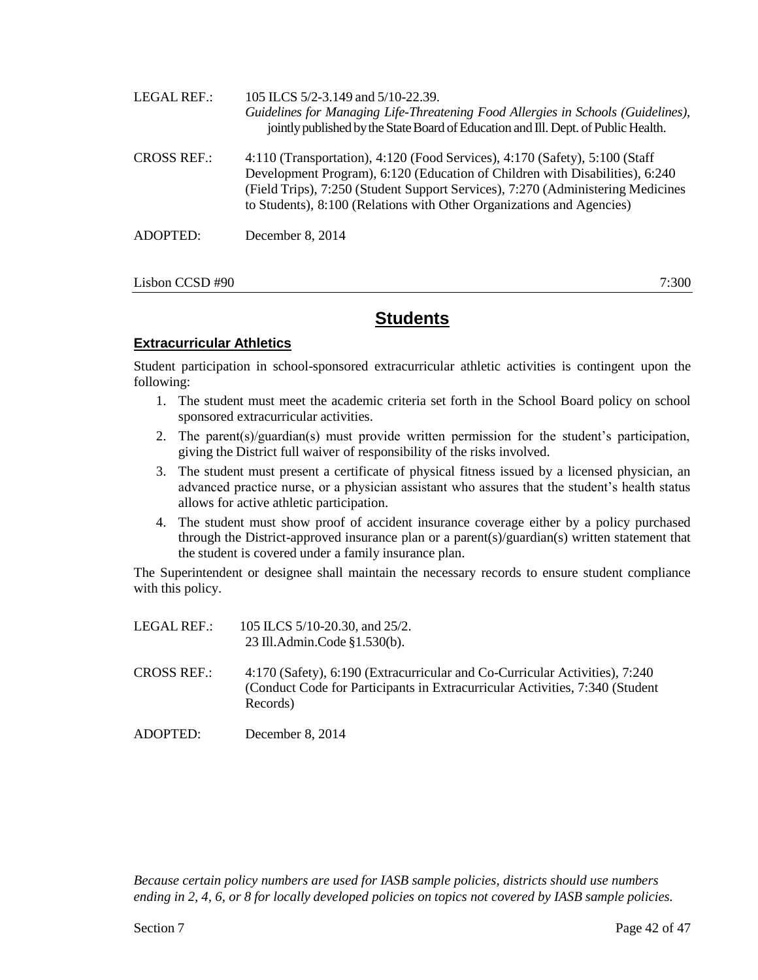| <b>LEGAL REF.:</b> | 105 ILCS 5/2-3.149 and 5/10-22.39.<br>Guidelines for Managing Life-Threatening Food Allergies in Schools (Guidelines),<br>jointly published by the State Board of Education and Ill. Dept. of Public Health.                                                                                                            |
|--------------------|-------------------------------------------------------------------------------------------------------------------------------------------------------------------------------------------------------------------------------------------------------------------------------------------------------------------------|
| <b>CROSS REF.:</b> | 4:110 (Transportation), 4:120 (Food Services), 4:170 (Safety), 5:100 (Staff<br>Development Program), 6:120 (Education of Children with Disabilities), 6:240<br>(Field Trips), 7:250 (Student Support Services), 7:270 (Administering Medicines<br>to Students), 8:100 (Relations with Other Organizations and Agencies) |
| ADOPTED:           | December 8, 2014                                                                                                                                                                                                                                                                                                        |
| Lisbon CCSD#90     | 7:300                                                                                                                                                                                                                                                                                                                   |

## **Extracurricular Athletics**

Student participation in school-sponsored extracurricular athletic activities is contingent upon the following:

- 1. The student must meet the academic criteria set forth in the School Board policy on school sponsored extracurricular activities.
- 2. The parent(s)/guardian(s) must provide written permission for the student's participation, giving the District full waiver of responsibility of the risks involved.
- 3. The student must present a certificate of physical fitness issued by a licensed physician, an advanced practice nurse, or a physician assistant who assures that the student's health status allows for active athletic participation.
- 4. The student must show proof of accident insurance coverage either by a policy purchased through the District-approved insurance plan or a parent(s)/guardian(s) written statement that the student is covered under a family insurance plan.

The Superintendent or designee shall maintain the necessary records to ensure student compliance with this policy.

| LEGAL REF.: | 105 ILCS 5/10-20.30, and 25/2. |
|-------------|--------------------------------|
|             | 23 Ill.Admin.Code §1.530(b).   |

- CROSS REF.: 4:170 (Safety), 6:190 (Extracurricular and Co-Curricular Activities), 7:240 (Conduct Code for Participants in Extracurricular Activities, 7:340 (Student Records)
- ADOPTED: December 8, 2014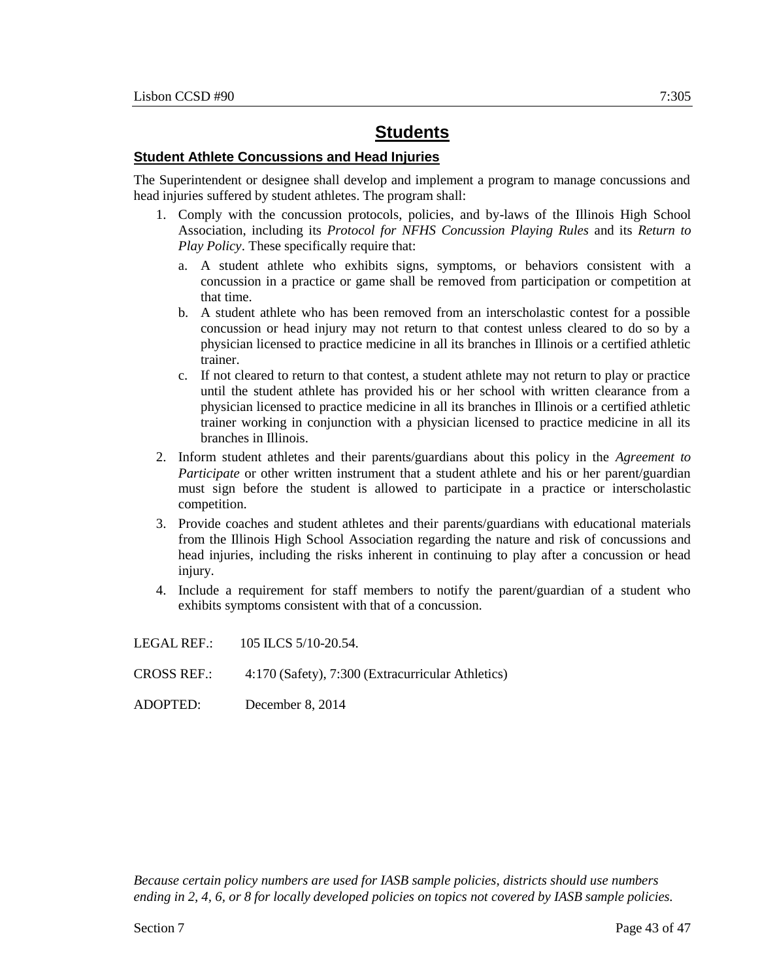## **Student Athlete Concussions and Head Injuries**

The Superintendent or designee shall develop and implement a program to manage concussions and head injuries suffered by student athletes. The program shall:

- 1. Comply with the concussion protocols, policies, and by-laws of the Illinois High School Association, including its *Protocol for NFHS Concussion Playing Rules* and its *Return to Play Policy*. These specifically require that:
	- a. A student athlete who exhibits signs, symptoms, or behaviors consistent with a concussion in a practice or game shall be removed from participation or competition at that time.
	- b. A student athlete who has been removed from an interscholastic contest for a possible concussion or head injury may not return to that contest unless cleared to do so by a physician licensed to practice medicine in all its branches in Illinois or a certified athletic trainer.
	- c. If not cleared to return to that contest, a student athlete may not return to play or practice until the student athlete has provided his or her school with written clearance from a physician licensed to practice medicine in all its branches in Illinois or a certified athletic trainer working in conjunction with a physician licensed to practice medicine in all its branches in Illinois.
- 2. Inform student athletes and their parents/guardians about this policy in the *Agreement to Participate* or other written instrument that a student athlete and his or her parent/guardian must sign before the student is allowed to participate in a practice or interscholastic competition.
- 3. Provide coaches and student athletes and their parents/guardians with educational materials from the Illinois High School Association regarding the nature and risk of concussions and head injuries, including the risks inherent in continuing to play after a concussion or head injury.
- 4. Include a requirement for staff members to notify the parent/guardian of a student who exhibits symptoms consistent with that of a concussion.

LEGAL REF.: 105 ILCS 5/10-20.54.

- CROSS REF.: 4:170 (Safety), 7:300 (Extracurricular Athletics)
- ADOPTED: December 8, 2014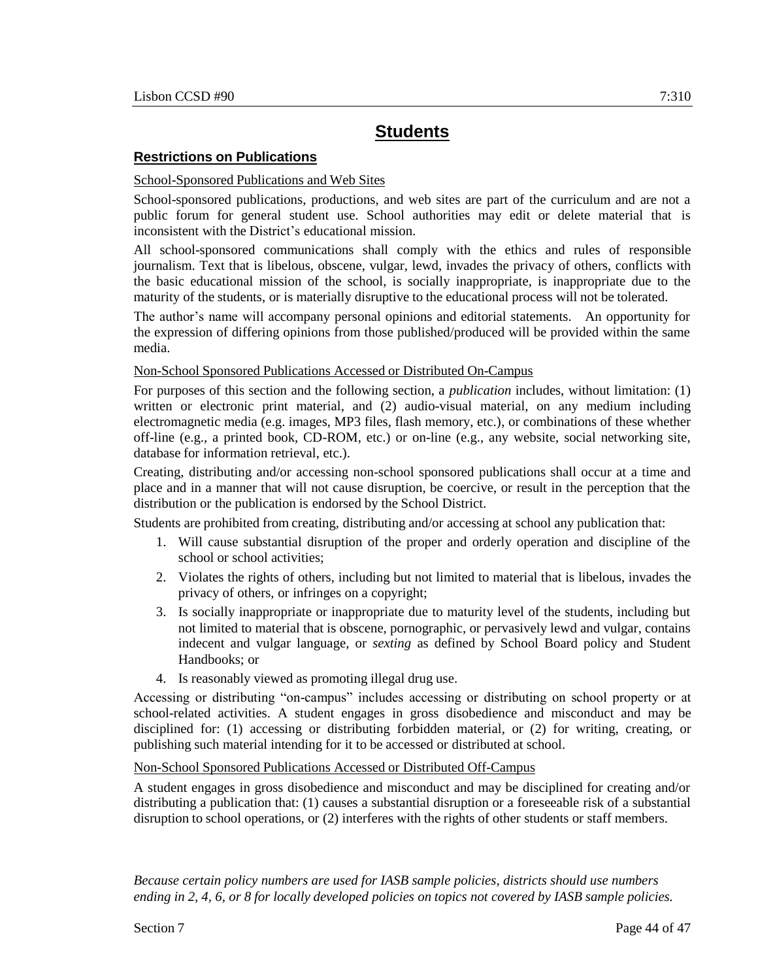## **Restrictions on Publications**

#### School-Sponsored Publications and Web Sites

School-sponsored publications, productions, and web sites are part of the curriculum and are not a public forum for general student use. School authorities may edit or delete material that is inconsistent with the District's educational mission.

All school-sponsored communications shall comply with the ethics and rules of responsible journalism. Text that is libelous, obscene, vulgar, lewd, invades the privacy of others, conflicts with the basic educational mission of the school, is socially inappropriate, is inappropriate due to the maturity of the students, or is materially disruptive to the educational process will not be tolerated.

The author's name will accompany personal opinions and editorial statements. An opportunity for the expression of differing opinions from those published/produced will be provided within the same media.

#### Non-School Sponsored Publications Accessed or Distributed On-Campus

For purposes of this section and the following section, a *publication* includes, without limitation: (1) written or electronic print material, and (2) audio-visual material, on any medium including electromagnetic media (e.g. images, MP3 files, flash memory, etc.), or combinations of these whether off-line (e.g., a printed book, CD-ROM, etc.) or on-line (e.g., any website, social networking site, database for information retrieval, etc.).

Creating, distributing and/or accessing non-school sponsored publications shall occur at a time and place and in a manner that will not cause disruption, be coercive, or result in the perception that the distribution or the publication is endorsed by the School District.

Students are prohibited from creating, distributing and/or accessing at school any publication that:

- 1. Will cause substantial disruption of the proper and orderly operation and discipline of the school or school activities;
- 2. Violates the rights of others, including but not limited to material that is libelous, invades the privacy of others, or infringes on a copyright;
- 3. Is socially inappropriate or inappropriate due to maturity level of the students, including but not limited to material that is obscene, pornographic, or pervasively lewd and vulgar, contains indecent and vulgar language, or *sexting* as defined by School Board policy and Student Handbooks; or
- 4. Is reasonably viewed as promoting illegal drug use.

Accessing or distributing "on-campus" includes accessing or distributing on school property or at school-related activities. A student engages in gross disobedience and misconduct and may be disciplined for: (1) accessing or distributing forbidden material, or (2) for writing, creating, or publishing such material intending for it to be accessed or distributed at school.

#### Non-School Sponsored Publications Accessed or Distributed Off-Campus

A student engages in gross disobedience and misconduct and may be disciplined for creating and/or distributing a publication that: (1) causes a substantial disruption or a foreseeable risk of a substantial disruption to school operations, or (2) interferes with the rights of other students or staff members.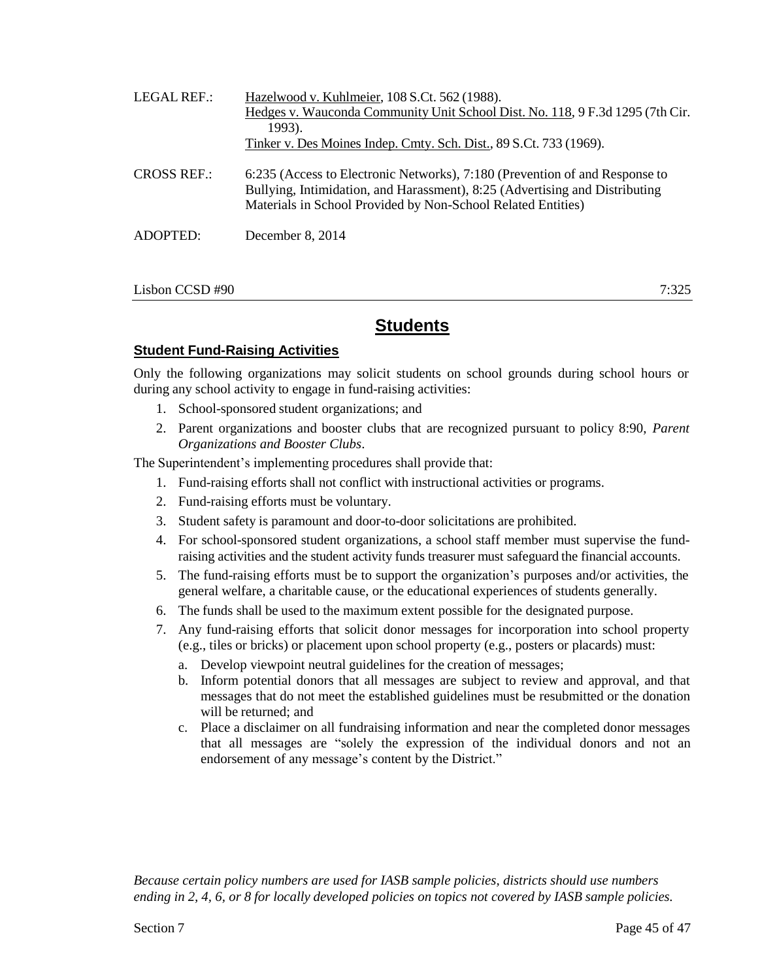| LEGAL REF.:        | Hazelwood v. Kuhlmeier, 108 S.Ct. 562 (1988).<br>Hedges v. Wauconda Community Unit School Dist. No. 118, 9 F.3d 1295 (7th Cir.<br>1993).<br>Tinker v. Des Moines Indep. Cmty. Sch. Dist., 89 S.Ct. 733 (1969).             |
|--------------------|----------------------------------------------------------------------------------------------------------------------------------------------------------------------------------------------------------------------------|
| <b>CROSS REF.:</b> | 6:235 (Access to Electronic Networks), 7:180 (Prevention of and Response to<br>Bullying, Intimidation, and Harassment), 8:25 (Advertising and Distributing<br>Materials in School Provided by Non-School Related Entities) |
| ADOPTED:           | December 8, 2014                                                                                                                                                                                                           |

Lisbon CCSD #90 7:325

## **Students**

## **Student Fund-Raising Activities**

Only the following organizations may solicit students on school grounds during school hours or during any school activity to engage in fund-raising activities:

- 1. School-sponsored student organizations; and
- 2. Parent organizations and booster clubs that are recognized pursuant to policy 8:90, *Parent Organizations and Booster Clubs*.

The Superintendent's implementing procedures shall provide that:

- 1. Fund-raising efforts shall not conflict with instructional activities or programs.
- 2. Fund-raising efforts must be voluntary.
- 3. Student safety is paramount and door-to-door solicitations are prohibited.
- 4. For school-sponsored student organizations, a school staff member must supervise the fundraising activities and the student activity funds treasurer must safeguard the financial accounts.
- 5. The fund-raising efforts must be to support the organization's purposes and/or activities, the general welfare, a charitable cause, or the educational experiences of students generally.
- 6. The funds shall be used to the maximum extent possible for the designated purpose.
- 7. Any fund-raising efforts that solicit donor messages for incorporation into school property (e.g., tiles or bricks) or placement upon school property (e.g., posters or placards) must:
	- a. Develop viewpoint neutral guidelines for the creation of messages;
	- b. Inform potential donors that all messages are subject to review and approval, and that messages that do not meet the established guidelines must be resubmitted or the donation will be returned; and
	- c. Place a disclaimer on all fundraising information and near the completed donor messages that all messages are "solely the expression of the individual donors and not an endorsement of any message's content by the District."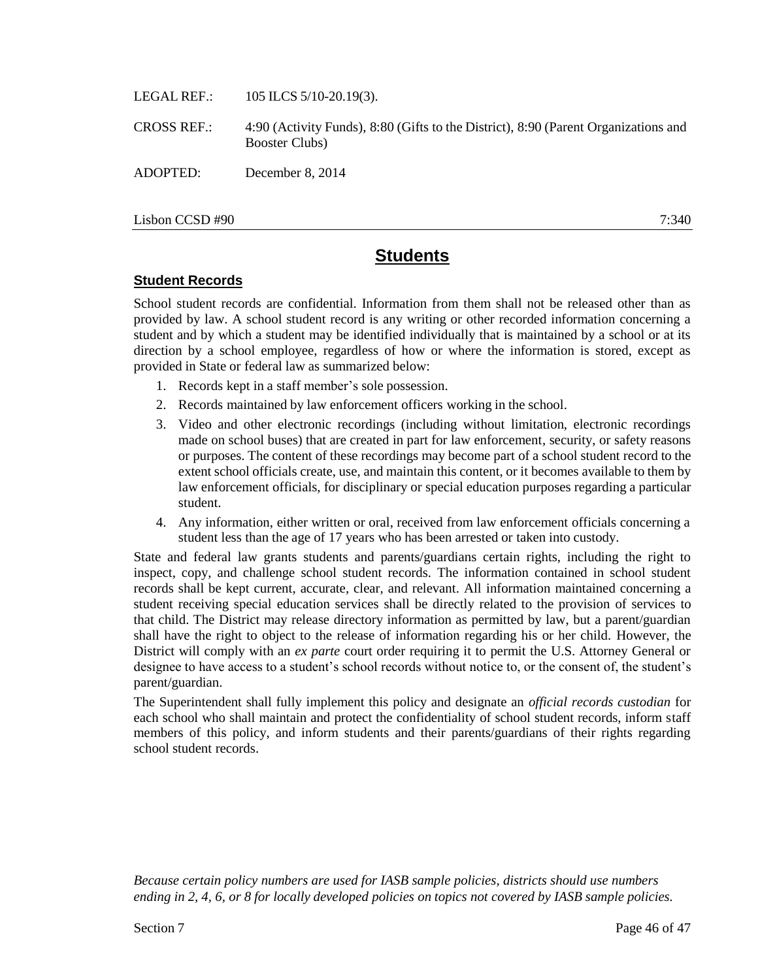LEGAL REF.: 105 ILCS 5/10-20.19(3).

CROSS REF.: 4:90 (Activity Funds), 8:80 (Gifts to the District), 8:90 (Parent Organizations and Booster Clubs)

ADOPTED: December 8, 2014

 $\Delta$ Lisbon CCSD #90 7:340

# **Students**

## **Student Records**

School student records are confidential. Information from them shall not be released other than as provided by law. A school student record is any writing or other recorded information concerning a student and by which a student may be identified individually that is maintained by a school or at its direction by a school employee, regardless of how or where the information is stored, except as provided in State or federal law as summarized below:

- 1. Records kept in a staff member's sole possession.
- 2. Records maintained by law enforcement officers working in the school.
- 3. Video and other electronic recordings (including without limitation, electronic recordings made on school buses) that are created in part for law enforcement, security, or safety reasons or purposes. The content of these recordings may become part of a school student record to the extent school officials create, use, and maintain this content, or it becomes available to them by law enforcement officials, for disciplinary or special education purposes regarding a particular student.
- 4. Any information, either written or oral, received from law enforcement officials concerning a student less than the age of 17 years who has been arrested or taken into custody.

State and federal law grants students and parents/guardians certain rights, including the right to inspect, copy, and challenge school student records. The information contained in school student records shall be kept current, accurate, clear, and relevant. All information maintained concerning a student receiving special education services shall be directly related to the provision of services to that child. The District may release directory information as permitted by law, but a parent/guardian shall have the right to object to the release of information regarding his or her child. However, the District will comply with an *ex parte* court order requiring it to permit the U.S. Attorney General or designee to have access to a student's school records without notice to, or the consent of, the student's parent/guardian.

The Superintendent shall fully implement this policy and designate an *official records custodian* for each school who shall maintain and protect the confidentiality of school student records, inform staff members of this policy, and inform students and their parents/guardians of their rights regarding school student records.